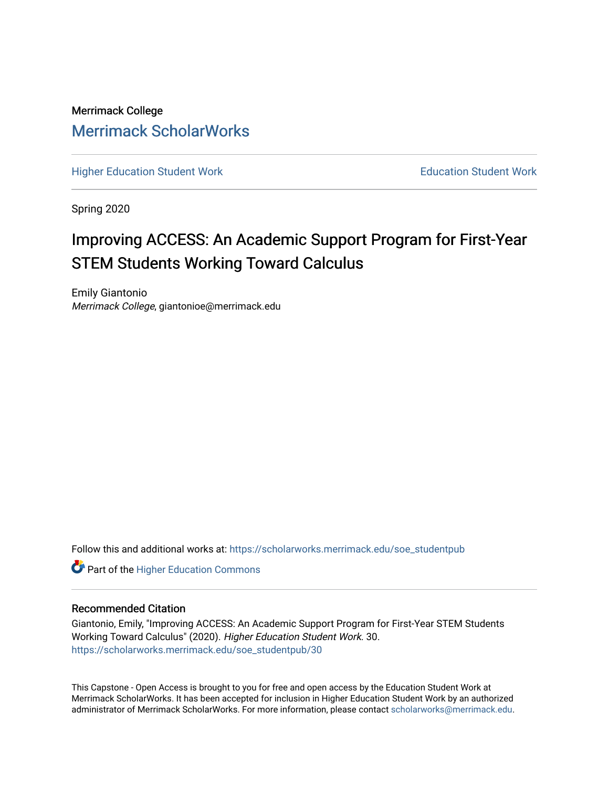Merrimack College [Merrimack ScholarWorks](https://scholarworks.merrimack.edu/) 

[Higher Education Student Work](https://scholarworks.merrimack.edu/soe_studentpub) **Education Student Work** Education Student Work

Spring 2020

# Improving ACCESS: An Academic Support Program for First-Year STEM Students Working Toward Calculus

Emily Giantonio Merrimack College, giantonioe@merrimack.edu

Follow this and additional works at: [https://scholarworks.merrimack.edu/soe\\_studentpub](https://scholarworks.merrimack.edu/soe_studentpub?utm_source=scholarworks.merrimack.edu%2Fsoe_studentpub%2F30&utm_medium=PDF&utm_campaign=PDFCoverPages) 

**Part of the Higher Education Commons** 

# Recommended Citation

Giantonio, Emily, "Improving ACCESS: An Academic Support Program for First-Year STEM Students Working Toward Calculus" (2020). Higher Education Student Work. 30. [https://scholarworks.merrimack.edu/soe\\_studentpub/30](https://scholarworks.merrimack.edu/soe_studentpub/30?utm_source=scholarworks.merrimack.edu%2Fsoe_studentpub%2F30&utm_medium=PDF&utm_campaign=PDFCoverPages) 

This Capstone - Open Access is brought to you for free and open access by the Education Student Work at Merrimack ScholarWorks. It has been accepted for inclusion in Higher Education Student Work by an authorized administrator of Merrimack ScholarWorks. For more information, please contact [scholarworks@merrimack.edu](mailto:scholarworks@merrimack.edu).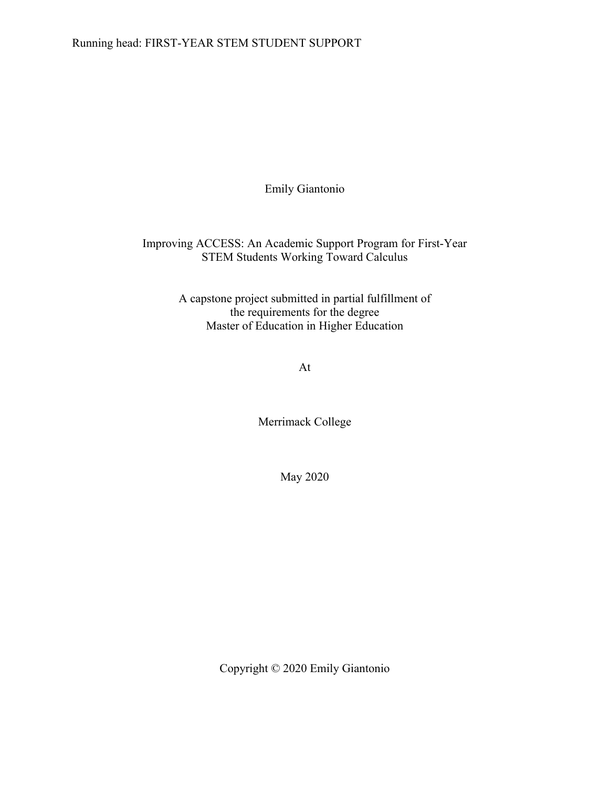Emily Giantonio

Improving ACCESS: An Academic Support Program for First-Year STEM Students Working Toward Calculus

> A capstone project submitted in partial fulfillment of the requirements for the degree Master of Education in Higher Education

> > At

Merrimack College

May 2020

Copyright © 2020 Emily Giantonio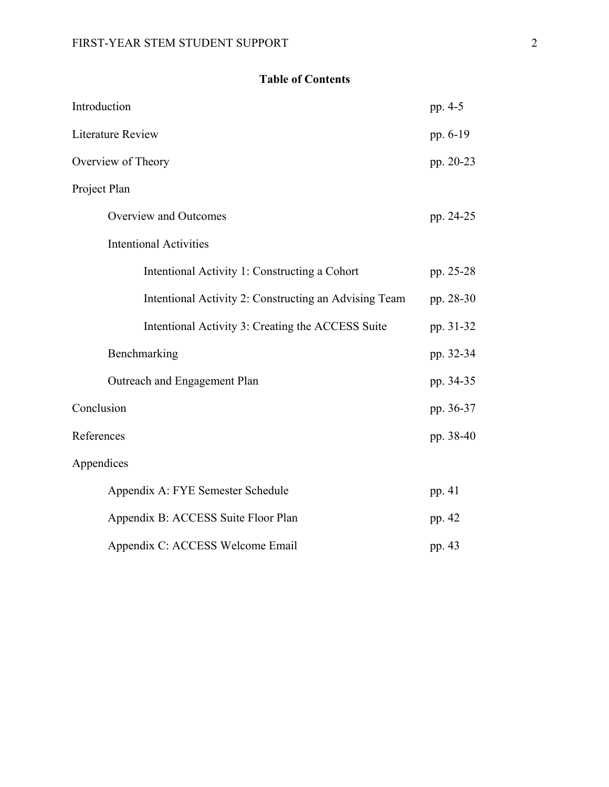# **Table of Contents**

| pp. 4-5   |
|-----------|
| pp. 6-19  |
| pp. 20-23 |
|           |
| pp. 24-25 |
|           |
| pp. 25-28 |
| pp. 28-30 |
| pp. 31-32 |
| pp. 32-34 |
| pp. 34-35 |
| pp. 36-37 |
| pp. 38-40 |
|           |
| pp. 41    |
| pp. 42    |
| pp. 43    |
|           |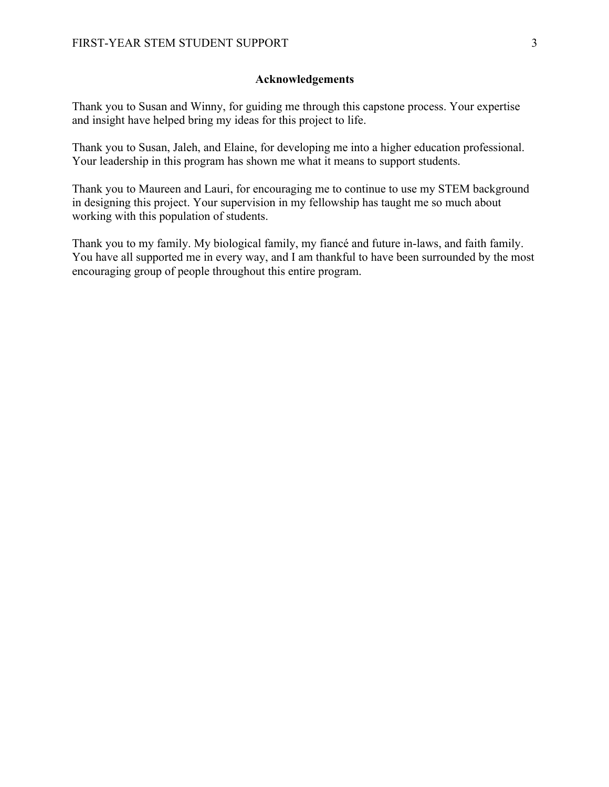# **Acknowledgements**

Thank you to Susan and Winny, for guiding me through this capstone process. Your expertise and insight have helped bring my ideas for this project to life.

Thank you to Susan, Jaleh, and Elaine, for developing me into a higher education professional. Your leadership in this program has shown me what it means to support students.

Thank you to Maureen and Lauri, for encouraging me to continue to use my STEM background in designing this project. Your supervision in my fellowship has taught me so much about working with this population of students.

Thank you to my family. My biological family, my fiancé and future in-laws, and faith family. You have all supported me in every way, and I am thankful to have been surrounded by the most encouraging group of people throughout this entire program.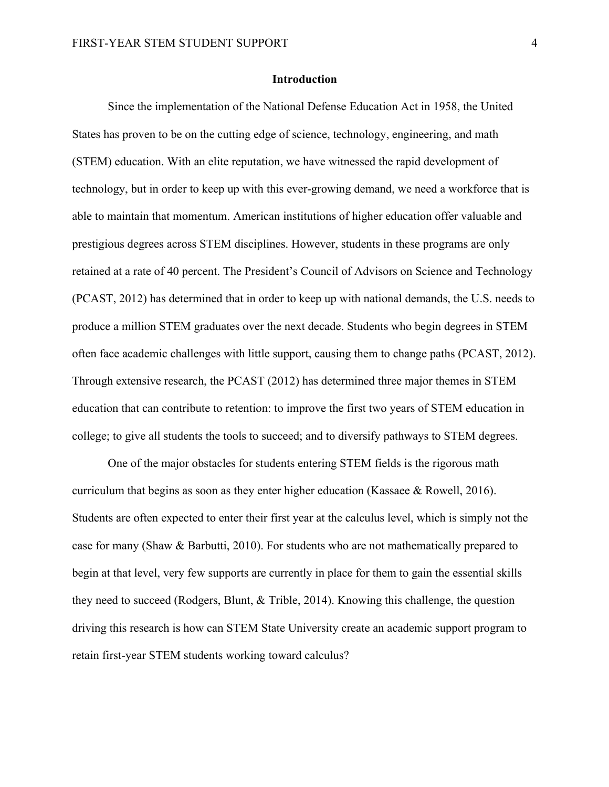#### **Introduction**

Since the implementation of the National Defense Education Act in 1958, the United States has proven to be on the cutting edge of science, technology, engineering, and math (STEM) education. With an elite reputation, we have witnessed the rapid development of technology, but in order to keep up with this ever-growing demand, we need a workforce that is able to maintain that momentum. American institutions of higher education offer valuable and prestigious degrees across STEM disciplines. However, students in these programs are only retained at a rate of 40 percent. The President's Council of Advisors on Science and Technology (PCAST, 2012) has determined that in order to keep up with national demands, the U.S. needs to produce a million STEM graduates over the next decade. Students who begin degrees in STEM often face academic challenges with little support, causing them to change paths (PCAST, 2012). Through extensive research, the PCAST (2012) has determined three major themes in STEM education that can contribute to retention: to improve the first two years of STEM education in college; to give all students the tools to succeed; and to diversify pathways to STEM degrees.

One of the major obstacles for students entering STEM fields is the rigorous math curriculum that begins as soon as they enter higher education (Kassaee & Rowell, 2016). Students are often expected to enter their first year at the calculus level, which is simply not the case for many (Shaw & Barbutti, 2010). For students who are not mathematically prepared to begin at that level, very few supports are currently in place for them to gain the essential skills they need to succeed (Rodgers, Blunt, & Trible, 2014). Knowing this challenge, the question driving this research is how can STEM State University create an academic support program to retain first-year STEM students working toward calculus?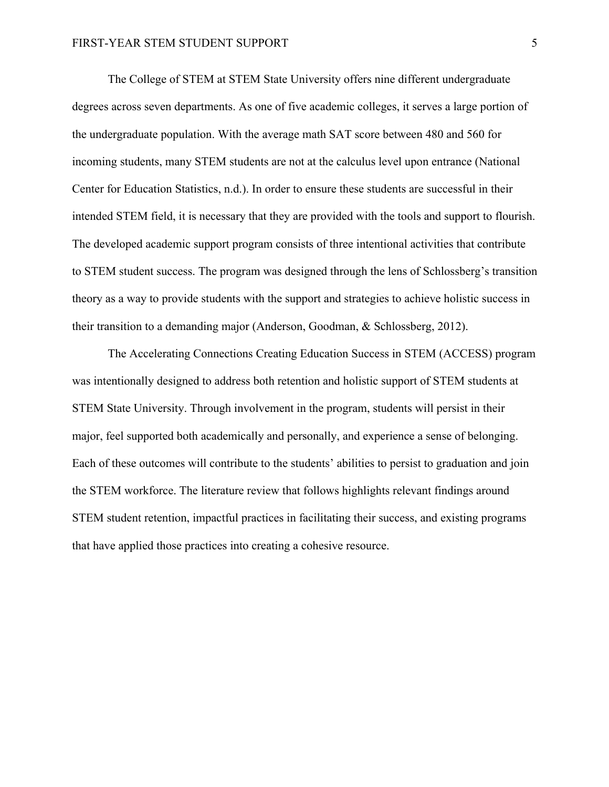The College of STEM at STEM State University offers nine different undergraduate degrees across seven departments. As one of five academic colleges, it serves a large portion of the undergraduate population. With the average math SAT score between 480 and 560 for incoming students, many STEM students are not at the calculus level upon entrance (National Center for Education Statistics, n.d.). In order to ensure these students are successful in their intended STEM field, it is necessary that they are provided with the tools and support to flourish. The developed academic support program consists of three intentional activities that contribute to STEM student success. The program was designed through the lens of Schlossberg's transition theory as a way to provide students with the support and strategies to achieve holistic success in their transition to a demanding major (Anderson, Goodman, & Schlossberg, 2012).

The Accelerating Connections Creating Education Success in STEM (ACCESS) program was intentionally designed to address both retention and holistic support of STEM students at STEM State University. Through involvement in the program, students will persist in their major, feel supported both academically and personally, and experience a sense of belonging. Each of these outcomes will contribute to the students' abilities to persist to graduation and join the STEM workforce. The literature review that follows highlights relevant findings around STEM student retention, impactful practices in facilitating their success, and existing programs that have applied those practices into creating a cohesive resource.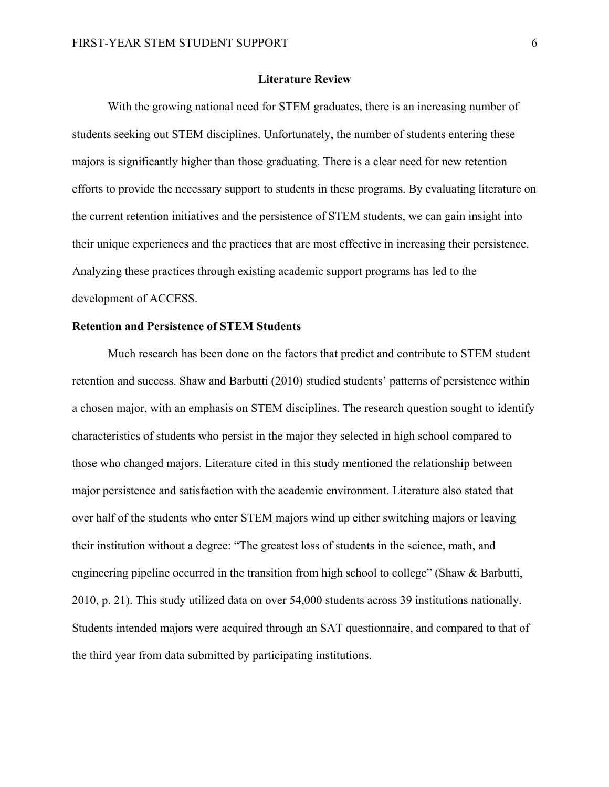#### **Literature Review**

With the growing national need for STEM graduates, there is an increasing number of students seeking out STEM disciplines. Unfortunately, the number of students entering these majors is significantly higher than those graduating. There is a clear need for new retention efforts to provide the necessary support to students in these programs. By evaluating literature on the current retention initiatives and the persistence of STEM students, we can gain insight into their unique experiences and the practices that are most effective in increasing their persistence. Analyzing these practices through existing academic support programs has led to the development of ACCESS.

#### **Retention and Persistence of STEM Students**

Much research has been done on the factors that predict and contribute to STEM student retention and success. Shaw and Barbutti (2010) studied students' patterns of persistence within a chosen major, with an emphasis on STEM disciplines. The research question sought to identify characteristics of students who persist in the major they selected in high school compared to those who changed majors. Literature cited in this study mentioned the relationship between major persistence and satisfaction with the academic environment. Literature also stated that over half of the students who enter STEM majors wind up either switching majors or leaving their institution without a degree: "The greatest loss of students in the science, math, and engineering pipeline occurred in the transition from high school to college" (Shaw & Barbutti, 2010, p. 21). This study utilized data on over 54,000 students across 39 institutions nationally. Students intended majors were acquired through an SAT questionnaire, and compared to that of the third year from data submitted by participating institutions.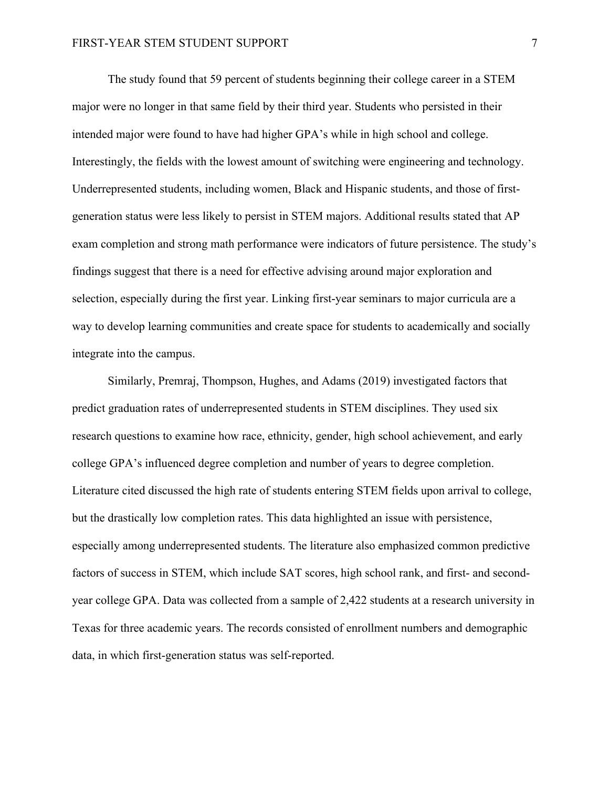The study found that 59 percent of students beginning their college career in a STEM major were no longer in that same field by their third year. Students who persisted in their intended major were found to have had higher GPA's while in high school and college. Interestingly, the fields with the lowest amount of switching were engineering and technology. Underrepresented students, including women, Black and Hispanic students, and those of firstgeneration status were less likely to persist in STEM majors. Additional results stated that AP exam completion and strong math performance were indicators of future persistence. The study's findings suggest that there is a need for effective advising around major exploration and selection, especially during the first year. Linking first-year seminars to major curricula are a way to develop learning communities and create space for students to academically and socially integrate into the campus.

Similarly, Premraj, Thompson, Hughes, and Adams (2019) investigated factors that predict graduation rates of underrepresented students in STEM disciplines. They used six research questions to examine how race, ethnicity, gender, high school achievement, and early college GPA's influenced degree completion and number of years to degree completion. Literature cited discussed the high rate of students entering STEM fields upon arrival to college, but the drastically low completion rates. This data highlighted an issue with persistence, especially among underrepresented students. The literature also emphasized common predictive factors of success in STEM, which include SAT scores, high school rank, and first- and secondyear college GPA. Data was collected from a sample of 2,422 students at a research university in Texas for three academic years. The records consisted of enrollment numbers and demographic data, in which first-generation status was self-reported.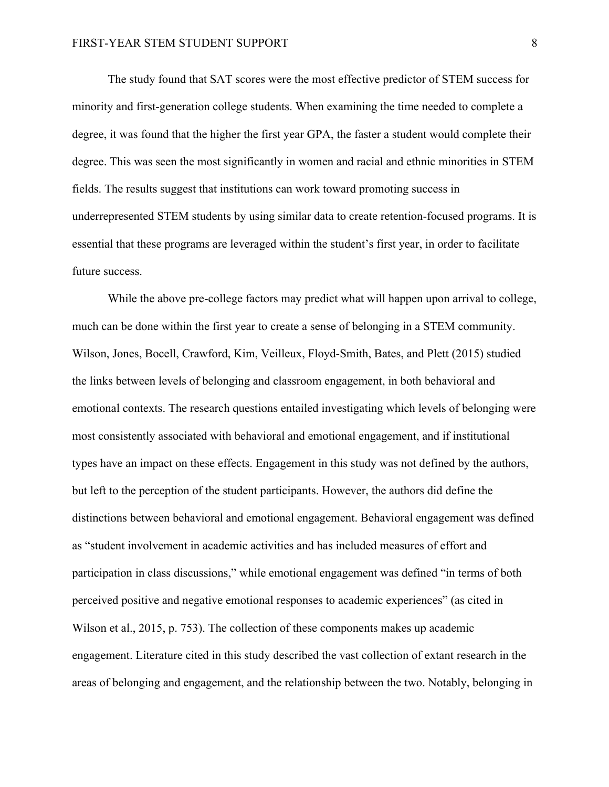The study found that SAT scores were the most effective predictor of STEM success for minority and first-generation college students. When examining the time needed to complete a degree, it was found that the higher the first year GPA, the faster a student would complete their degree. This was seen the most significantly in women and racial and ethnic minorities in STEM fields. The results suggest that institutions can work toward promoting success in underrepresented STEM students by using similar data to create retention-focused programs. It is essential that these programs are leveraged within the student's first year, in order to facilitate future success.

While the above pre-college factors may predict what will happen upon arrival to college, much can be done within the first year to create a sense of belonging in a STEM community. Wilson, Jones, Bocell, Crawford, Kim, Veilleux, Floyd-Smith, Bates, and Plett (2015) studied the links between levels of belonging and classroom engagement, in both behavioral and emotional contexts. The research questions entailed investigating which levels of belonging were most consistently associated with behavioral and emotional engagement, and if institutional types have an impact on these effects. Engagement in this study was not defined by the authors, but left to the perception of the student participants. However, the authors did define the distinctions between behavioral and emotional engagement. Behavioral engagement was defined as "student involvement in academic activities and has included measures of effort and participation in class discussions," while emotional engagement was defined "in terms of both perceived positive and negative emotional responses to academic experiences" (as cited in Wilson et al., 2015, p. 753). The collection of these components makes up academic engagement. Literature cited in this study described the vast collection of extant research in the areas of belonging and engagement, and the relationship between the two. Notably, belonging in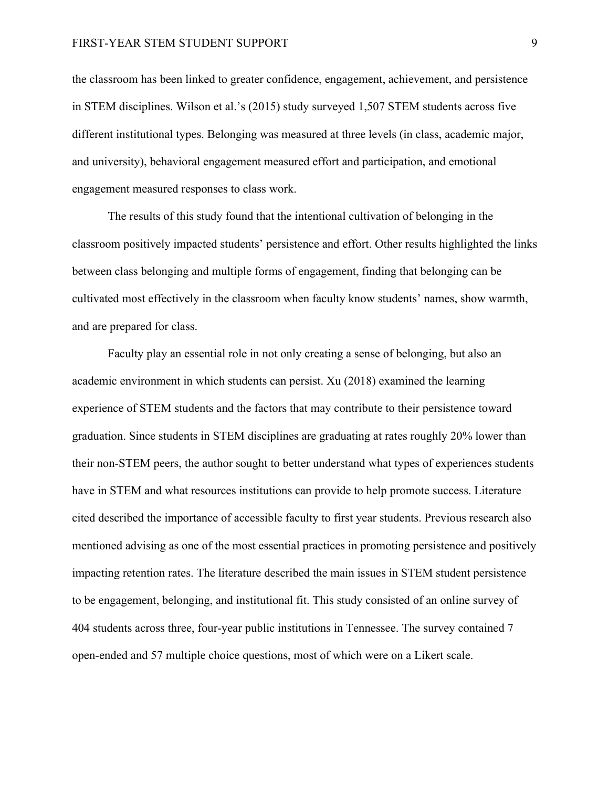the classroom has been linked to greater confidence, engagement, achievement, and persistence in STEM disciplines. Wilson et al.'s (2015) study surveyed 1,507 STEM students across five different institutional types. Belonging was measured at three levels (in class, academic major, and university), behavioral engagement measured effort and participation, and emotional engagement measured responses to class work.

The results of this study found that the intentional cultivation of belonging in the classroom positively impacted students' persistence and effort. Other results highlighted the links between class belonging and multiple forms of engagement, finding that belonging can be cultivated most effectively in the classroom when faculty know students' names, show warmth, and are prepared for class.

Faculty play an essential role in not only creating a sense of belonging, but also an academic environment in which students can persist. Xu (2018) examined the learning experience of STEM students and the factors that may contribute to their persistence toward graduation. Since students in STEM disciplines are graduating at rates roughly 20% lower than their non-STEM peers, the author sought to better understand what types of experiences students have in STEM and what resources institutions can provide to help promote success. Literature cited described the importance of accessible faculty to first year students. Previous research also mentioned advising as one of the most essential practices in promoting persistence and positively impacting retention rates. The literature described the main issues in STEM student persistence to be engagement, belonging, and institutional fit. This study consisted of an online survey of 404 students across three, four-year public institutions in Tennessee. The survey contained 7 open-ended and 57 multiple choice questions, most of which were on a Likert scale.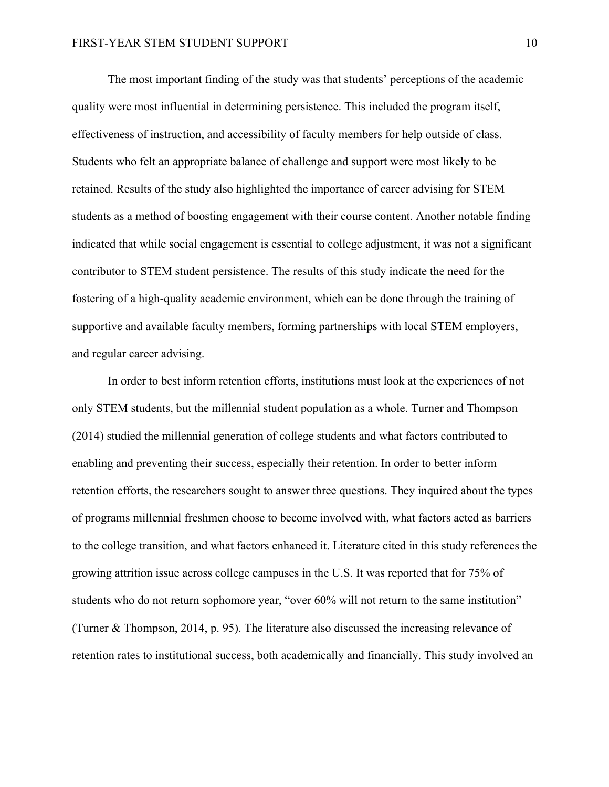The most important finding of the study was that students' perceptions of the academic quality were most influential in determining persistence. This included the program itself, effectiveness of instruction, and accessibility of faculty members for help outside of class. Students who felt an appropriate balance of challenge and support were most likely to be retained. Results of the study also highlighted the importance of career advising for STEM students as a method of boosting engagement with their course content. Another notable finding indicated that while social engagement is essential to college adjustment, it was not a significant contributor to STEM student persistence. The results of this study indicate the need for the fostering of a high-quality academic environment, which can be done through the training of supportive and available faculty members, forming partnerships with local STEM employers, and regular career advising.

In order to best inform retention efforts, institutions must look at the experiences of not only STEM students, but the millennial student population as a whole. Turner and Thompson (2014) studied the millennial generation of college students and what factors contributed to enabling and preventing their success, especially their retention. In order to better inform retention efforts, the researchers sought to answer three questions. They inquired about the types of programs millennial freshmen choose to become involved with, what factors acted as barriers to the college transition, and what factors enhanced it. Literature cited in this study references the growing attrition issue across college campuses in the U.S. It was reported that for 75% of students who do not return sophomore year, "over 60% will not return to the same institution" (Turner & Thompson, 2014, p. 95). The literature also discussed the increasing relevance of retention rates to institutional success, both academically and financially. This study involved an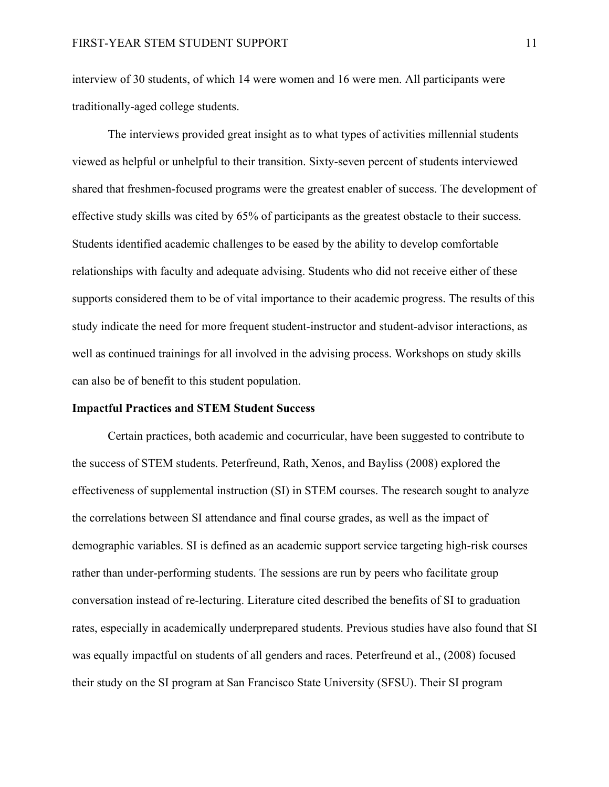interview of 30 students, of which 14 were women and 16 were men. All participants were traditionally-aged college students.

The interviews provided great insight as to what types of activities millennial students viewed as helpful or unhelpful to their transition. Sixty-seven percent of students interviewed shared that freshmen-focused programs were the greatest enabler of success. The development of effective study skills was cited by 65% of participants as the greatest obstacle to their success. Students identified academic challenges to be eased by the ability to develop comfortable relationships with faculty and adequate advising. Students who did not receive either of these supports considered them to be of vital importance to their academic progress. The results of this study indicate the need for more frequent student-instructor and student-advisor interactions, as well as continued trainings for all involved in the advising process. Workshops on study skills can also be of benefit to this student population.

#### **Impactful Practices and STEM Student Success**

Certain practices, both academic and cocurricular, have been suggested to contribute to the success of STEM students. Peterfreund, Rath, Xenos, and Bayliss (2008) explored the effectiveness of supplemental instruction (SI) in STEM courses. The research sought to analyze the correlations between SI attendance and final course grades, as well as the impact of demographic variables. SI is defined as an academic support service targeting high-risk courses rather than under-performing students. The sessions are run by peers who facilitate group conversation instead of re-lecturing. Literature cited described the benefits of SI to graduation rates, especially in academically underprepared students. Previous studies have also found that SI was equally impactful on students of all genders and races. Peterfreund et al., (2008) focused their study on the SI program at San Francisco State University (SFSU). Their SI program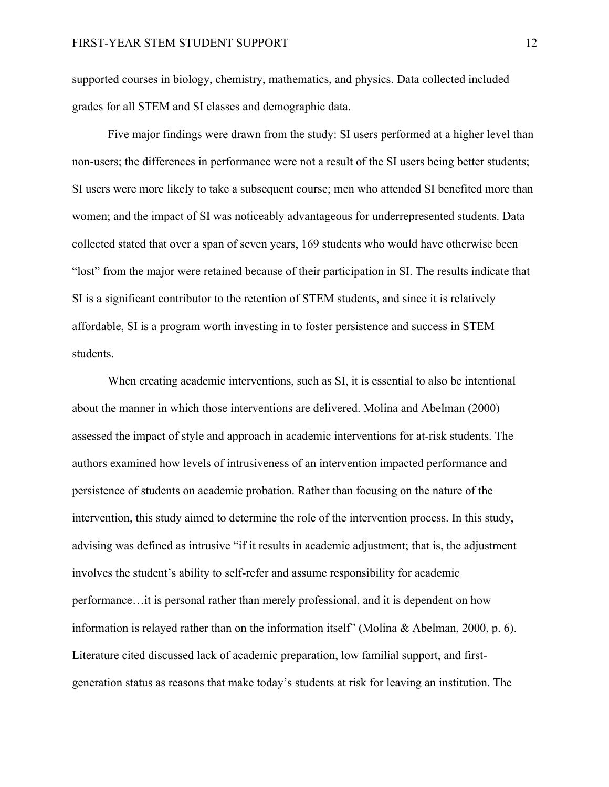supported courses in biology, chemistry, mathematics, and physics. Data collected included grades for all STEM and SI classes and demographic data.

Five major findings were drawn from the study: SI users performed at a higher level than non-users; the differences in performance were not a result of the SI users being better students; SI users were more likely to take a subsequent course; men who attended SI benefited more than women; and the impact of SI was noticeably advantageous for underrepresented students. Data collected stated that over a span of seven years, 169 students who would have otherwise been "lost" from the major were retained because of their participation in SI. The results indicate that SI is a significant contributor to the retention of STEM students, and since it is relatively affordable, SI is a program worth investing in to foster persistence and success in STEM students.

When creating academic interventions, such as SI, it is essential to also be intentional about the manner in which those interventions are delivered. Molina and Abelman (2000) assessed the impact of style and approach in academic interventions for at-risk students. The authors examined how levels of intrusiveness of an intervention impacted performance and persistence of students on academic probation. Rather than focusing on the nature of the intervention, this study aimed to determine the role of the intervention process. In this study, advising was defined as intrusive "if it results in academic adjustment; that is, the adjustment involves the student's ability to self-refer and assume responsibility for academic performance…it is personal rather than merely professional, and it is dependent on how information is relayed rather than on the information itself" (Molina & Abelman, 2000, p. 6). Literature cited discussed lack of academic preparation, low familial support, and firstgeneration status as reasons that make today's students at risk for leaving an institution. The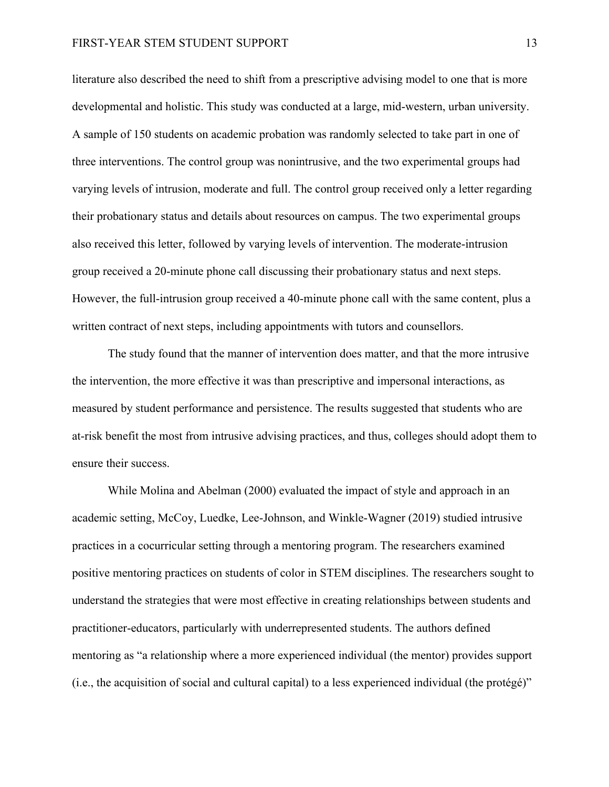#### FIRST-YEAR STEM STUDENT SUPPORT 13

literature also described the need to shift from a prescriptive advising model to one that is more developmental and holistic. This study was conducted at a large, mid-western, urban university. A sample of 150 students on academic probation was randomly selected to take part in one of three interventions. The control group was nonintrusive, and the two experimental groups had varying levels of intrusion, moderate and full. The control group received only a letter regarding their probationary status and details about resources on campus. The two experimental groups also received this letter, followed by varying levels of intervention. The moderate-intrusion group received a 20-minute phone call discussing their probationary status and next steps. However, the full-intrusion group received a 40-minute phone call with the same content, plus a written contract of next steps, including appointments with tutors and counsellors.

The study found that the manner of intervention does matter, and that the more intrusive the intervention, the more effective it was than prescriptive and impersonal interactions, as measured by student performance and persistence. The results suggested that students who are at-risk benefit the most from intrusive advising practices, and thus, colleges should adopt them to ensure their success.

While Molina and Abelman (2000) evaluated the impact of style and approach in an academic setting, McCoy, Luedke, Lee-Johnson, and Winkle-Wagner (2019) studied intrusive practices in a cocurricular setting through a mentoring program. The researchers examined positive mentoring practices on students of color in STEM disciplines. The researchers sought to understand the strategies that were most effective in creating relationships between students and practitioner-educators, particularly with underrepresented students. The authors defined mentoring as "a relationship where a more experienced individual (the mentor) provides support (i.e., the acquisition of social and cultural capital) to a less experienced individual (the protégé)"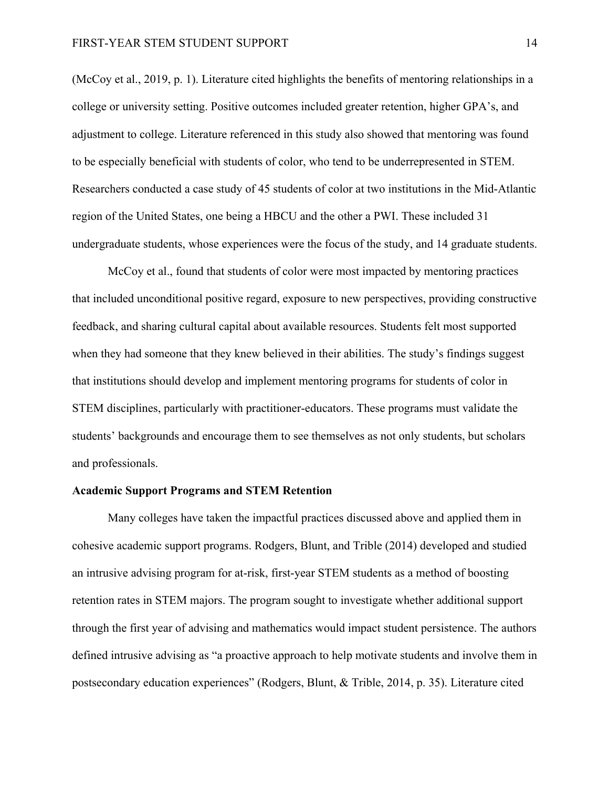(McCoy et al., 2019, p. 1). Literature cited highlights the benefits of mentoring relationships in a college or university setting. Positive outcomes included greater retention, higher GPA's, and adjustment to college. Literature referenced in this study also showed that mentoring was found to be especially beneficial with students of color, who tend to be underrepresented in STEM. Researchers conducted a case study of 45 students of color at two institutions in the Mid-Atlantic region of the United States, one being a HBCU and the other a PWI. These included 31 undergraduate students, whose experiences were the focus of the study, and 14 graduate students.

McCoy et al., found that students of color were most impacted by mentoring practices that included unconditional positive regard, exposure to new perspectives, providing constructive feedback, and sharing cultural capital about available resources. Students felt most supported when they had someone that they knew believed in their abilities. The study's findings suggest that institutions should develop and implement mentoring programs for students of color in STEM disciplines, particularly with practitioner-educators. These programs must validate the students' backgrounds and encourage them to see themselves as not only students, but scholars and professionals.

# **Academic Support Programs and STEM Retention**

Many colleges have taken the impactful practices discussed above and applied them in cohesive academic support programs. Rodgers, Blunt, and Trible (2014) developed and studied an intrusive advising program for at-risk, first-year STEM students as a method of boosting retention rates in STEM majors. The program sought to investigate whether additional support through the first year of advising and mathematics would impact student persistence. The authors defined intrusive advising as "a proactive approach to help motivate students and involve them in postsecondary education experiences" (Rodgers, Blunt, & Trible, 2014, p. 35). Literature cited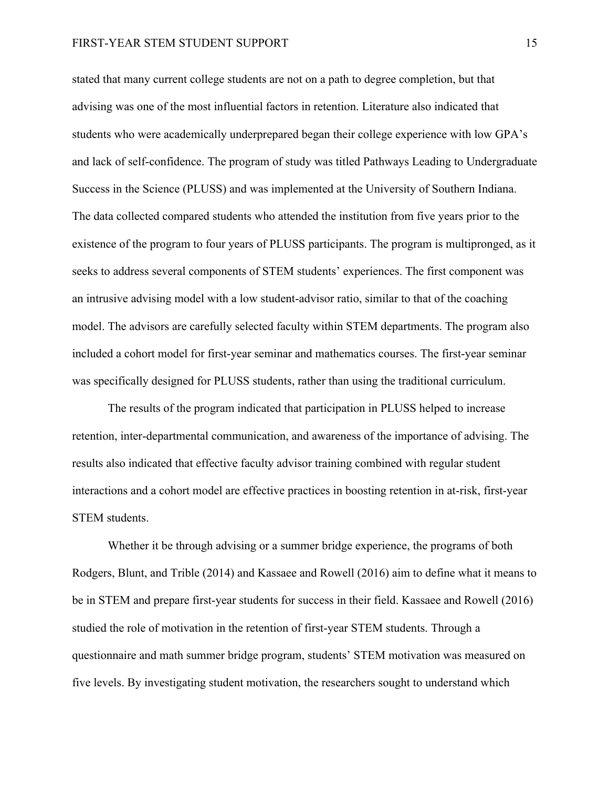stated that many current college students are not on a path to degree completion, but that advising was one of the most influential factors in retention. Literature also indicated that students who were academically underprepared began their college experience with low GPA's and lack of self-confidence. The program of study was titled Pathways Leading to Undergraduate Success in the Science (PLUSS) and was implemented at the University of Southern Indiana. The data collected compared students who attended the institution from five years prior to the existence of the program to four years of PLUSS participants. The program is multipronged, as it seeks to address several components of STEM students' experiences. The first component was an intrusive advising model with a low student-advisor ratio, similar to that of the coaching model. The advisors are carefully selected faculty within STEM departments. The program also included a cohort model for first-year seminar and mathematics courses. The first-year seminar was specifically designed for PLUSS students, rather than using the traditional curriculum.

The results of the program indicated that participation in PLUSS helped to increase retention, inter-departmental communication, and awareness of the importance of advising. The results also indicated that effective faculty advisor training combined with regular student interactions and a cohort model are effective practices in boosting retention in at-risk, first-year STEM students.

Whether it be through advising or a summer bridge experience, the programs of both Rodgers, Blunt, and Trible (2014) and Kassaee and Rowell (2016) aim to define what it means to be in STEM and prepare first-year students for success in their field. Kassaee and Rowell (2016) studied the role of motivation in the retention of first-year STEM students. Through a questionnaire and math summer bridge program, students' STEM motivation was measured on five levels. By investigating student motivation, the researchers sought to understand which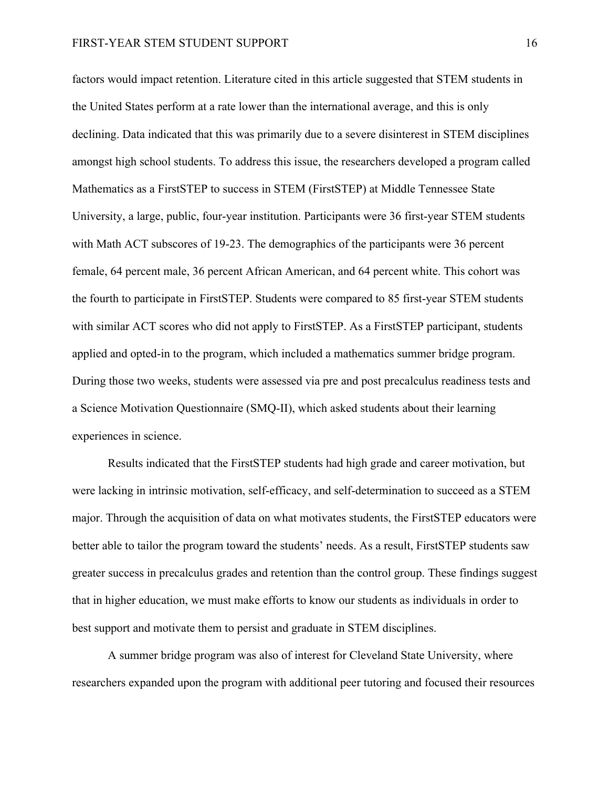factors would impact retention. Literature cited in this article suggested that STEM students in the United States perform at a rate lower than the international average, and this is only declining. Data indicated that this was primarily due to a severe disinterest in STEM disciplines amongst high school students. To address this issue, the researchers developed a program called Mathematics as a FirstSTEP to success in STEM (FirstSTEP) at Middle Tennessee State University, a large, public, four-year institution. Participants were 36 first-year STEM students with Math ACT subscores of 19-23. The demographics of the participants were 36 percent female, 64 percent male, 36 percent African American, and 64 percent white. This cohort was the fourth to participate in FirstSTEP. Students were compared to 85 first-year STEM students with similar ACT scores who did not apply to FirstSTEP. As a FirstSTEP participant, students applied and opted-in to the program, which included a mathematics summer bridge program. During those two weeks, students were assessed via pre and post precalculus readiness tests and a Science Motivation Questionnaire (SMQ-II), which asked students about their learning experiences in science.

Results indicated that the FirstSTEP students had high grade and career motivation, but were lacking in intrinsic motivation, self-efficacy, and self-determination to succeed as a STEM major. Through the acquisition of data on what motivates students, the FirstSTEP educators were better able to tailor the program toward the students' needs. As a result, FirstSTEP students saw greater success in precalculus grades and retention than the control group. These findings suggest that in higher education, we must make efforts to know our students as individuals in order to best support and motivate them to persist and graduate in STEM disciplines.

A summer bridge program was also of interest for Cleveland State University, where researchers expanded upon the program with additional peer tutoring and focused their resources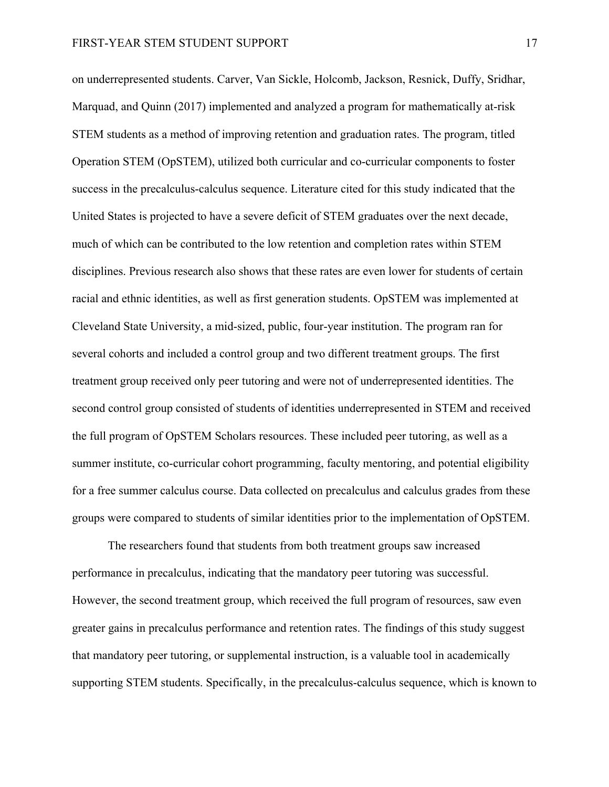on underrepresented students. Carver, Van Sickle, Holcomb, Jackson, Resnick, Duffy, Sridhar, Marquad, and Quinn (2017) implemented and analyzed a program for mathematically at-risk STEM students as a method of improving retention and graduation rates. The program, titled Operation STEM (OpSTEM), utilized both curricular and co-curricular components to foster success in the precalculus-calculus sequence. Literature cited for this study indicated that the United States is projected to have a severe deficit of STEM graduates over the next decade, much of which can be contributed to the low retention and completion rates within STEM disciplines. Previous research also shows that these rates are even lower for students of certain racial and ethnic identities, as well as first generation students. OpSTEM was implemented at Cleveland State University, a mid-sized, public, four-year institution. The program ran for several cohorts and included a control group and two different treatment groups. The first treatment group received only peer tutoring and were not of underrepresented identities. The second control group consisted of students of identities underrepresented in STEM and received the full program of OpSTEM Scholars resources. These included peer tutoring, as well as a summer institute, co-curricular cohort programming, faculty mentoring, and potential eligibility for a free summer calculus course. Data collected on precalculus and calculus grades from these groups were compared to students of similar identities prior to the implementation of OpSTEM.

The researchers found that students from both treatment groups saw increased performance in precalculus, indicating that the mandatory peer tutoring was successful. However, the second treatment group, which received the full program of resources, saw even greater gains in precalculus performance and retention rates. The findings of this study suggest that mandatory peer tutoring, or supplemental instruction, is a valuable tool in academically supporting STEM students. Specifically, in the precalculus-calculus sequence, which is known to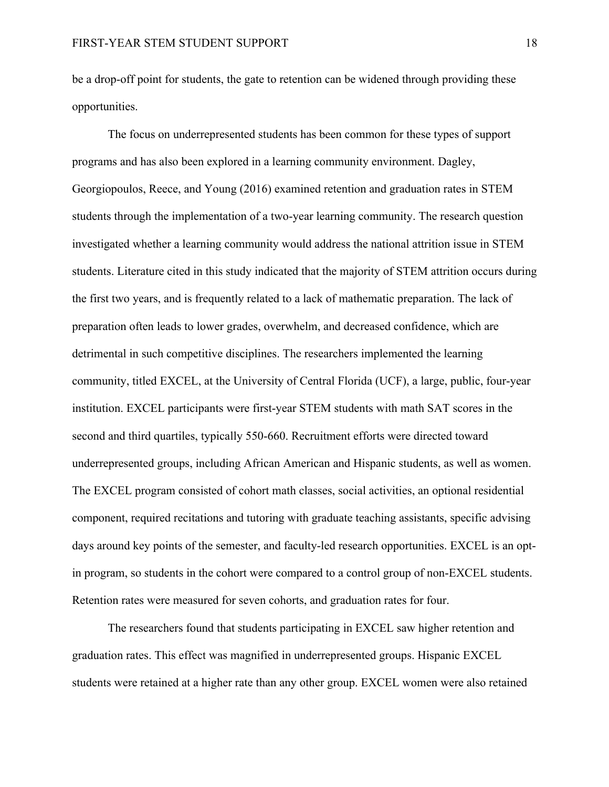be a drop-off point for students, the gate to retention can be widened through providing these opportunities.

The focus on underrepresented students has been common for these types of support programs and has also been explored in a learning community environment. Dagley, Georgiopoulos, Reece, and Young (2016) examined retention and graduation rates in STEM students through the implementation of a two-year learning community. The research question investigated whether a learning community would address the national attrition issue in STEM students. Literature cited in this study indicated that the majority of STEM attrition occurs during the first two years, and is frequently related to a lack of mathematic preparation. The lack of preparation often leads to lower grades, overwhelm, and decreased confidence, which are detrimental in such competitive disciplines. The researchers implemented the learning community, titled EXCEL, at the University of Central Florida (UCF), a large, public, four-year institution. EXCEL participants were first-year STEM students with math SAT scores in the second and third quartiles, typically 550-660. Recruitment efforts were directed toward underrepresented groups, including African American and Hispanic students, as well as women. The EXCEL program consisted of cohort math classes, social activities, an optional residential component, required recitations and tutoring with graduate teaching assistants, specific advising days around key points of the semester, and faculty-led research opportunities. EXCEL is an optin program, so students in the cohort were compared to a control group of non-EXCEL students. Retention rates were measured for seven cohorts, and graduation rates for four.

The researchers found that students participating in EXCEL saw higher retention and graduation rates. This effect was magnified in underrepresented groups. Hispanic EXCEL students were retained at a higher rate than any other group. EXCEL women were also retained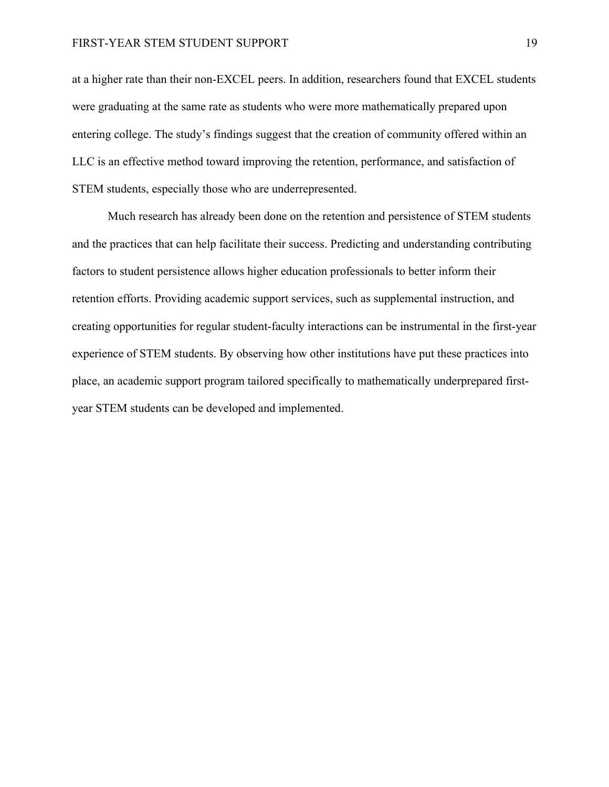at a higher rate than their non-EXCEL peers. In addition, researchers found that EXCEL students were graduating at the same rate as students who were more mathematically prepared upon entering college. The study's findings suggest that the creation of community offered within an LLC is an effective method toward improving the retention, performance, and satisfaction of STEM students, especially those who are underrepresented.

Much research has already been done on the retention and persistence of STEM students and the practices that can help facilitate their success. Predicting and understanding contributing factors to student persistence allows higher education professionals to better inform their retention efforts. Providing academic support services, such as supplemental instruction, and creating opportunities for regular student-faculty interactions can be instrumental in the first-year experience of STEM students. By observing how other institutions have put these practices into place, an academic support program tailored specifically to mathematically underprepared firstyear STEM students can be developed and implemented.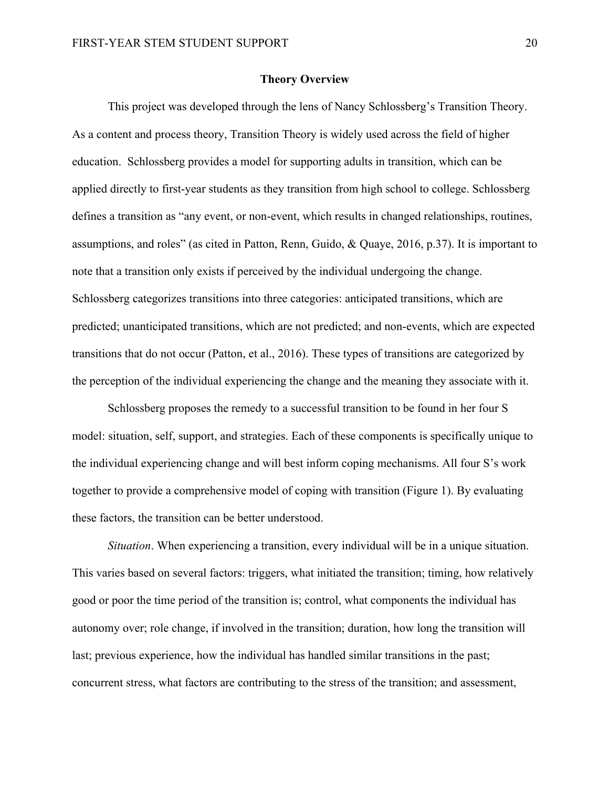#### **Theory Overview**

This project was developed through the lens of Nancy Schlossberg's Transition Theory. As a content and process theory, Transition Theory is widely used across the field of higher education. Schlossberg provides a model for supporting adults in transition, which can be applied directly to first-year students as they transition from high school to college. Schlossberg defines a transition as "any event, or non-event, which results in changed relationships, routines, assumptions, and roles" (as cited in Patton, Renn, Guido, & Quaye, 2016, p.37). It is important to note that a transition only exists if perceived by the individual undergoing the change. Schlossberg categorizes transitions into three categories: anticipated transitions, which are predicted; unanticipated transitions, which are not predicted; and non-events, which are expected transitions that do not occur (Patton, et al., 2016). These types of transitions are categorized by the perception of the individual experiencing the change and the meaning they associate with it.

Schlossberg proposes the remedy to a successful transition to be found in her four S model: situation, self, support, and strategies. Each of these components is specifically unique to the individual experiencing change and will best inform coping mechanisms. All four S's work together to provide a comprehensive model of coping with transition (Figure 1). By evaluating these factors, the transition can be better understood.

*Situation*. When experiencing a transition, every individual will be in a unique situation. This varies based on several factors: triggers, what initiated the transition; timing, how relatively good or poor the time period of the transition is; control, what components the individual has autonomy over; role change, if involved in the transition; duration, how long the transition will last; previous experience, how the individual has handled similar transitions in the past; concurrent stress, what factors are contributing to the stress of the transition; and assessment,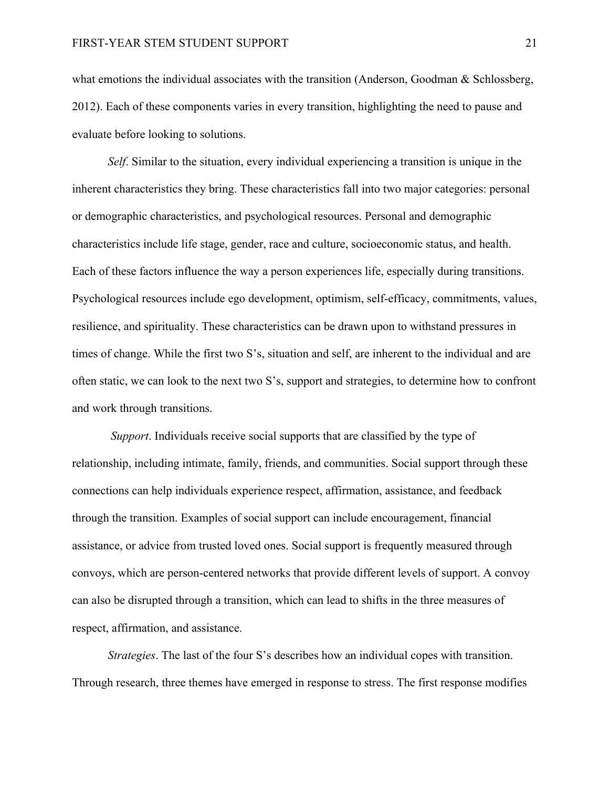what emotions the individual associates with the transition (Anderson, Goodman & Schlossberg, 2012). Each of these components varies in every transition, highlighting the need to pause and evaluate before looking to solutions.

*Self*. Similar to the situation, every individual experiencing a transition is unique in the inherent characteristics they bring. These characteristics fall into two major categories: personal or demographic characteristics, and psychological resources. Personal and demographic characteristics include life stage, gender, race and culture, socioeconomic status, and health. Each of these factors influence the way a person experiences life, especially during transitions. Psychological resources include ego development, optimism, self-efficacy, commitments, values, resilience, and spirituality. These characteristics can be drawn upon to withstand pressures in times of change. While the first two S's, situation and self, are inherent to the individual and are often static, we can look to the next two S's, support and strategies, to determine how to confront and work through transitions.

*Support*. Individuals receive social supports that are classified by the type of relationship, including intimate, family, friends, and communities. Social support through these connections can help individuals experience respect, affirmation, assistance, and feedback through the transition. Examples of social support can include encouragement, financial assistance, or advice from trusted loved ones. Social support is frequently measured through convoys, which are person-centered networks that provide different levels of support. A convoy can also be disrupted through a transition, which can lead to shifts in the three measures of respect, affirmation, and assistance.

*Strategies*. The last of the four S's describes how an individual copes with transition. Through research, three themes have emerged in response to stress. The first response modifies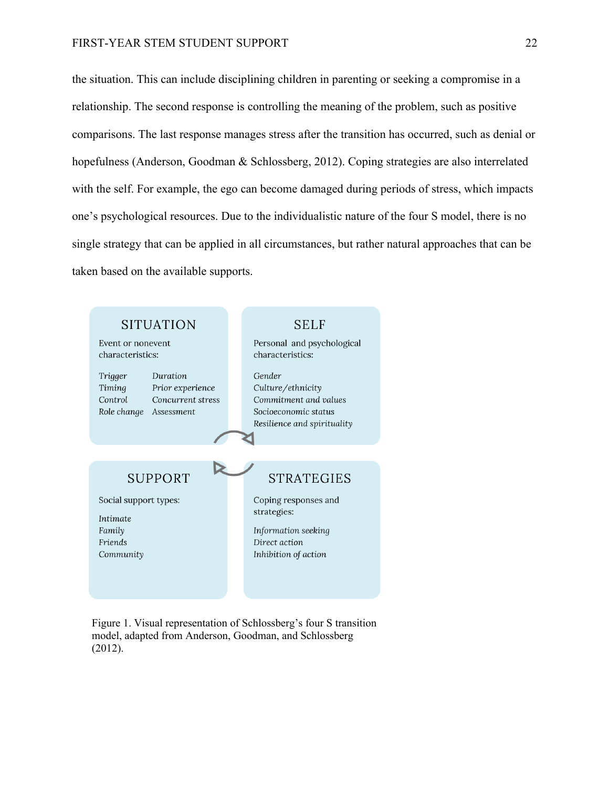# FIRST-YEAR STEM STUDENT SUPPORT 22

the situation. This can include disciplining children in parenting or seeking a compromise in a relationship. The second response is controlling the meaning of the problem, such as positive comparisons. The last response manages stress after the transition has occurred, such as denial or hopefulness (Anderson, Goodman & Schlossberg, 2012). Coping strategies are also interrelated with the self. For example, the ego can become damaged during periods of stress, which impacts one's psychological resources. Due to the individualistic nature of the four S model, there is no single strategy that can be applied in all circumstances, but rather natural approaches that can be taken based on the available supports.



Figure 1. Visual representation of Schlossberg's four S transition model, adapted from Anderson, Goodman, and Schlossberg (2012).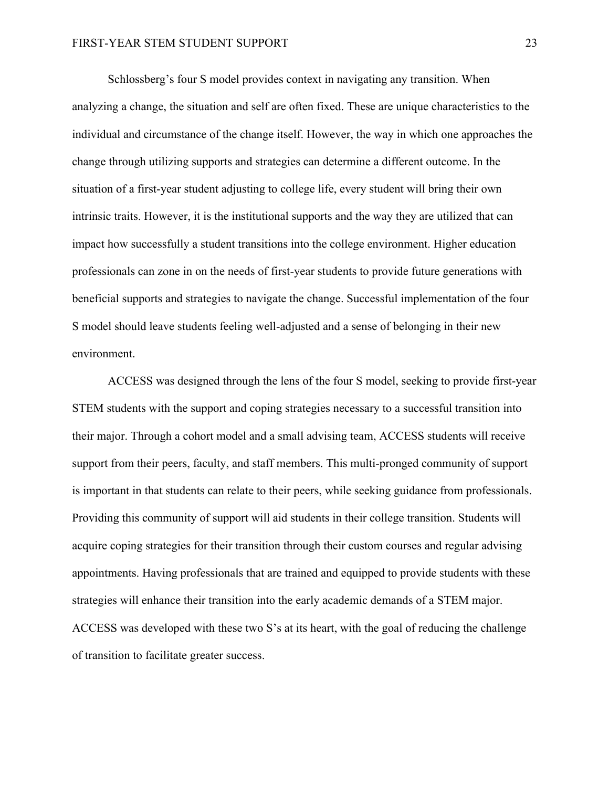Schlossberg's four S model provides context in navigating any transition. When analyzing a change, the situation and self are often fixed. These are unique characteristics to the individual and circumstance of the change itself. However, the way in which one approaches the change through utilizing supports and strategies can determine a different outcome. In the situation of a first-year student adjusting to college life, every student will bring their own intrinsic traits. However, it is the institutional supports and the way they are utilized that can impact how successfully a student transitions into the college environment. Higher education professionals can zone in on the needs of first-year students to provide future generations with beneficial supports and strategies to navigate the change. Successful implementation of the four S model should leave students feeling well-adjusted and a sense of belonging in their new environment.

ACCESS was designed through the lens of the four S model, seeking to provide first-year STEM students with the support and coping strategies necessary to a successful transition into their major. Through a cohort model and a small advising team, ACCESS students will receive support from their peers, faculty, and staff members. This multi-pronged community of support is important in that students can relate to their peers, while seeking guidance from professionals. Providing this community of support will aid students in their college transition. Students will acquire coping strategies for their transition through their custom courses and regular advising appointments. Having professionals that are trained and equipped to provide students with these strategies will enhance their transition into the early academic demands of a STEM major. ACCESS was developed with these two S's at its heart, with the goal of reducing the challenge of transition to facilitate greater success.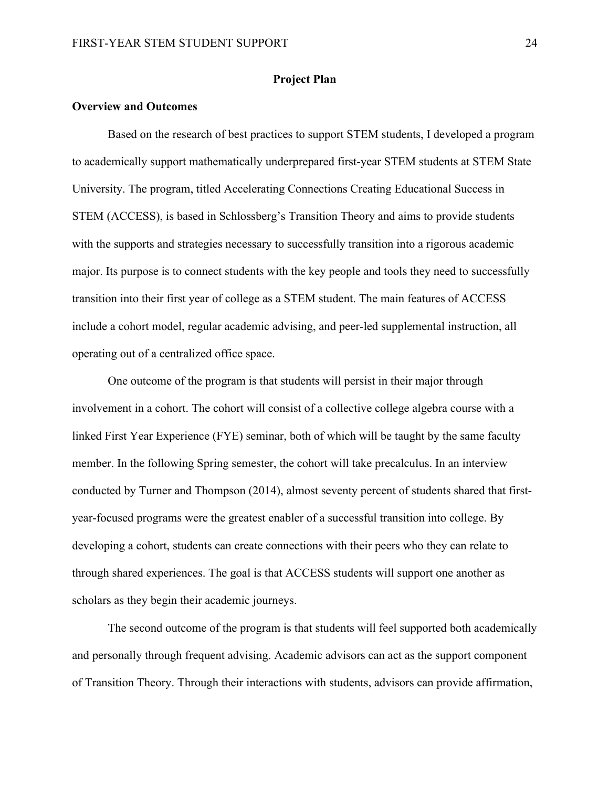# **Project Plan**

# **Overview and Outcomes**

Based on the research of best practices to support STEM students, I developed a program to academically support mathematically underprepared first-year STEM students at STEM State University. The program, titled Accelerating Connections Creating Educational Success in STEM (ACCESS), is based in Schlossberg's Transition Theory and aims to provide students with the supports and strategies necessary to successfully transition into a rigorous academic major. Its purpose is to connect students with the key people and tools they need to successfully transition into their first year of college as a STEM student. The main features of ACCESS include a cohort model, regular academic advising, and peer-led supplemental instruction, all operating out of a centralized office space.

One outcome of the program is that students will persist in their major through involvement in a cohort. The cohort will consist of a collective college algebra course with a linked First Year Experience (FYE) seminar, both of which will be taught by the same faculty member. In the following Spring semester, the cohort will take precalculus. In an interview conducted by Turner and Thompson (2014), almost seventy percent of students shared that firstyear-focused programs were the greatest enabler of a successful transition into college. By developing a cohort, students can create connections with their peers who they can relate to through shared experiences. The goal is that ACCESS students will support one another as scholars as they begin their academic journeys.

The second outcome of the program is that students will feel supported both academically and personally through frequent advising. Academic advisors can act as the support component of Transition Theory. Through their interactions with students, advisors can provide affirmation,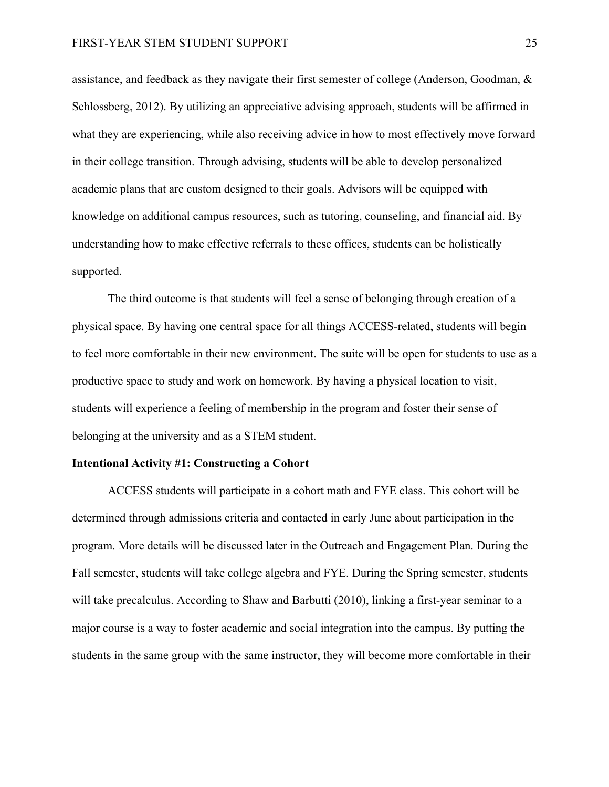assistance, and feedback as they navigate their first semester of college (Anderson, Goodman, & Schlossberg, 2012). By utilizing an appreciative advising approach, students will be affirmed in what they are experiencing, while also receiving advice in how to most effectively move forward in their college transition. Through advising, students will be able to develop personalized academic plans that are custom designed to their goals. Advisors will be equipped with knowledge on additional campus resources, such as tutoring, counseling, and financial aid. By understanding how to make effective referrals to these offices, students can be holistically supported.

The third outcome is that students will feel a sense of belonging through creation of a physical space. By having one central space for all things ACCESS-related, students will begin to feel more comfortable in their new environment. The suite will be open for students to use as a productive space to study and work on homework. By having a physical location to visit, students will experience a feeling of membership in the program and foster their sense of belonging at the university and as a STEM student.

#### **Intentional Activity #1: Constructing a Cohort**

ACCESS students will participate in a cohort math and FYE class. This cohort will be determined through admissions criteria and contacted in early June about participation in the program. More details will be discussed later in the Outreach and Engagement Plan. During the Fall semester, students will take college algebra and FYE. During the Spring semester, students will take precalculus. According to Shaw and Barbutti (2010), linking a first-year seminar to a major course is a way to foster academic and social integration into the campus. By putting the students in the same group with the same instructor, they will become more comfortable in their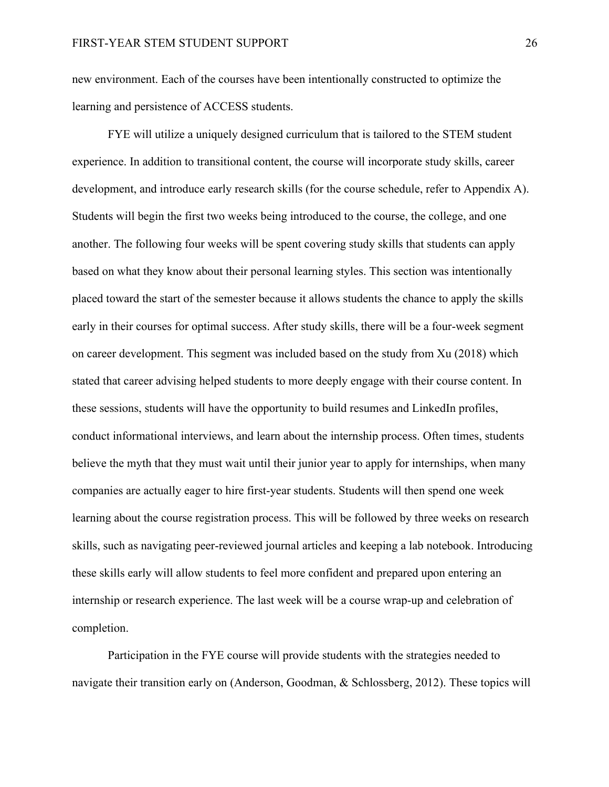new environment. Each of the courses have been intentionally constructed to optimize the learning and persistence of ACCESS students.

FYE will utilize a uniquely designed curriculum that is tailored to the STEM student experience. In addition to transitional content, the course will incorporate study skills, career development, and introduce early research skills (for the course schedule, refer to Appendix A). Students will begin the first two weeks being introduced to the course, the college, and one another. The following four weeks will be spent covering study skills that students can apply based on what they know about their personal learning styles. This section was intentionally placed toward the start of the semester because it allows students the chance to apply the skills early in their courses for optimal success. After study skills, there will be a four-week segment on career development. This segment was included based on the study from Xu (2018) which stated that career advising helped students to more deeply engage with their course content. In these sessions, students will have the opportunity to build resumes and LinkedIn profiles, conduct informational interviews, and learn about the internship process. Often times, students believe the myth that they must wait until their junior year to apply for internships, when many companies are actually eager to hire first-year students. Students will then spend one week learning about the course registration process. This will be followed by three weeks on research skills, such as navigating peer-reviewed journal articles and keeping a lab notebook. Introducing these skills early will allow students to feel more confident and prepared upon entering an internship or research experience. The last week will be a course wrap-up and celebration of completion.

Participation in the FYE course will provide students with the strategies needed to navigate their transition early on (Anderson, Goodman, & Schlossberg, 2012). These topics will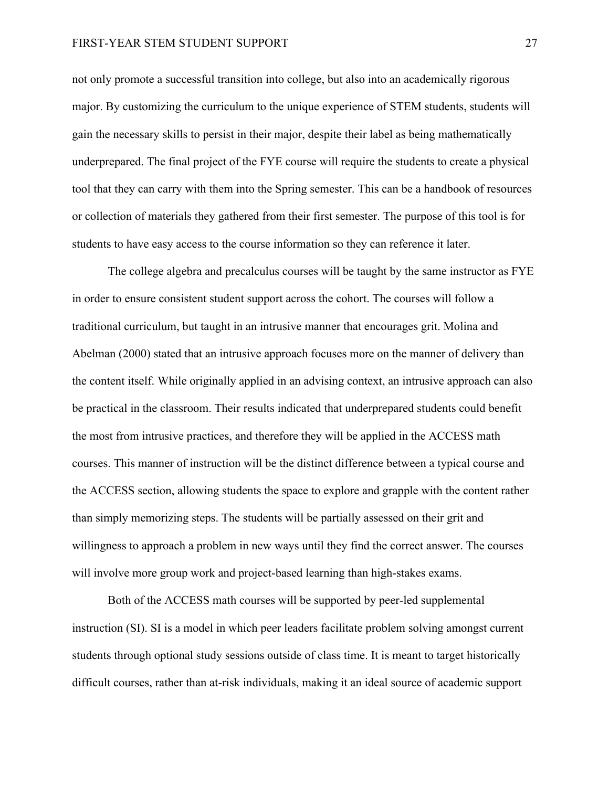#### FIRST-YEAR STEM STUDENT SUPPORT 27

not only promote a successful transition into college, but also into an academically rigorous major. By customizing the curriculum to the unique experience of STEM students, students will gain the necessary skills to persist in their major, despite their label as being mathematically underprepared. The final project of the FYE course will require the students to create a physical tool that they can carry with them into the Spring semester. This can be a handbook of resources or collection of materials they gathered from their first semester. The purpose of this tool is for students to have easy access to the course information so they can reference it later.

The college algebra and precalculus courses will be taught by the same instructor as FYE in order to ensure consistent student support across the cohort. The courses will follow a traditional curriculum, but taught in an intrusive manner that encourages grit. Molina and Abelman (2000) stated that an intrusive approach focuses more on the manner of delivery than the content itself. While originally applied in an advising context, an intrusive approach can also be practical in the classroom. Their results indicated that underprepared students could benefit the most from intrusive practices, and therefore they will be applied in the ACCESS math courses. This manner of instruction will be the distinct difference between a typical course and the ACCESS section, allowing students the space to explore and grapple with the content rather than simply memorizing steps. The students will be partially assessed on their grit and willingness to approach a problem in new ways until they find the correct answer. The courses will involve more group work and project-based learning than high-stakes exams.

Both of the ACCESS math courses will be supported by peer-led supplemental instruction (SI). SI is a model in which peer leaders facilitate problem solving amongst current students through optional study sessions outside of class time. It is meant to target historically difficult courses, rather than at-risk individuals, making it an ideal source of academic support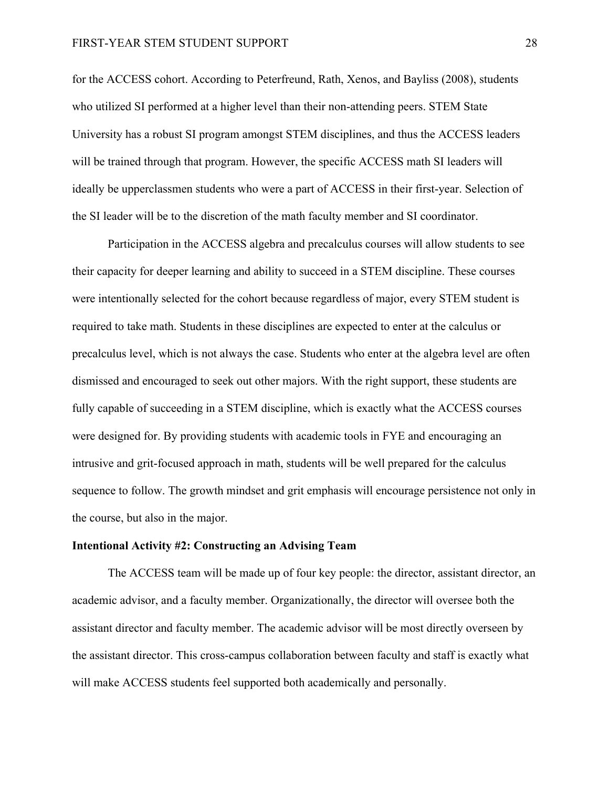# FIRST-YEAR STEM STUDENT SUPPORT 28

for the ACCESS cohort. According to Peterfreund, Rath, Xenos, and Bayliss (2008), students who utilized SI performed at a higher level than their non-attending peers. STEM State University has a robust SI program amongst STEM disciplines, and thus the ACCESS leaders will be trained through that program. However, the specific ACCESS math SI leaders will ideally be upperclassmen students who were a part of ACCESS in their first-year. Selection of the SI leader will be to the discretion of the math faculty member and SI coordinator.

Participation in the ACCESS algebra and precalculus courses will allow students to see their capacity for deeper learning and ability to succeed in a STEM discipline. These courses were intentionally selected for the cohort because regardless of major, every STEM student is required to take math. Students in these disciplines are expected to enter at the calculus or precalculus level, which is not always the case. Students who enter at the algebra level are often dismissed and encouraged to seek out other majors. With the right support, these students are fully capable of succeeding in a STEM discipline, which is exactly what the ACCESS courses were designed for. By providing students with academic tools in FYE and encouraging an intrusive and grit-focused approach in math, students will be well prepared for the calculus sequence to follow. The growth mindset and grit emphasis will encourage persistence not only in the course, but also in the major.

#### **Intentional Activity #2: Constructing an Advising Team**

The ACCESS team will be made up of four key people: the director, assistant director, an academic advisor, and a faculty member. Organizationally, the director will oversee both the assistant director and faculty member. The academic advisor will be most directly overseen by the assistant director. This cross-campus collaboration between faculty and staff is exactly what will make ACCESS students feel supported both academically and personally.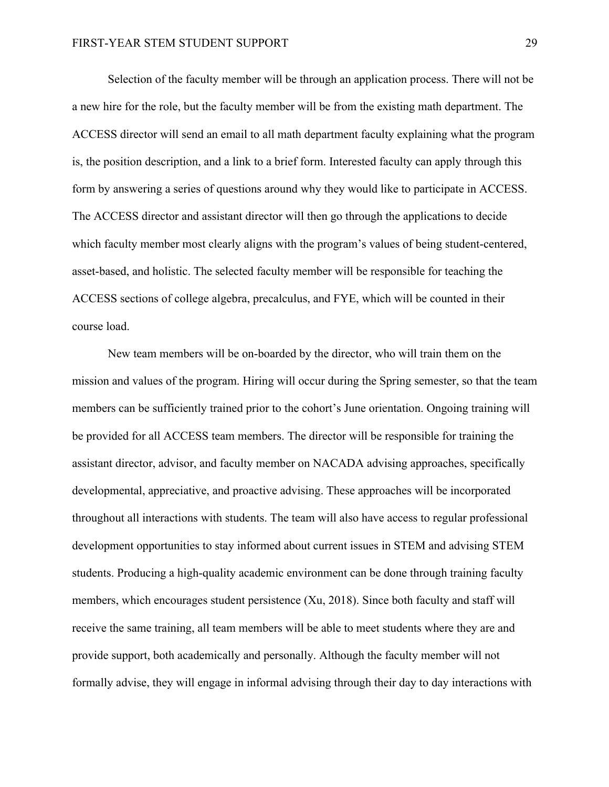Selection of the faculty member will be through an application process. There will not be a new hire for the role, but the faculty member will be from the existing math department. The ACCESS director will send an email to all math department faculty explaining what the program is, the position description, and a link to a brief form. Interested faculty can apply through this form by answering a series of questions around why they would like to participate in ACCESS. The ACCESS director and assistant director will then go through the applications to decide which faculty member most clearly aligns with the program's values of being student-centered, asset-based, and holistic. The selected faculty member will be responsible for teaching the ACCESS sections of college algebra, precalculus, and FYE, which will be counted in their course load.

New team members will be on-boarded by the director, who will train them on the mission and values of the program. Hiring will occur during the Spring semester, so that the team members can be sufficiently trained prior to the cohort's June orientation. Ongoing training will be provided for all ACCESS team members. The director will be responsible for training the assistant director, advisor, and faculty member on NACADA advising approaches, specifically developmental, appreciative, and proactive advising. These approaches will be incorporated throughout all interactions with students. The team will also have access to regular professional development opportunities to stay informed about current issues in STEM and advising STEM students. Producing a high-quality academic environment can be done through training faculty members, which encourages student persistence (Xu, 2018). Since both faculty and staff will receive the same training, all team members will be able to meet students where they are and provide support, both academically and personally. Although the faculty member will not formally advise, they will engage in informal advising through their day to day interactions with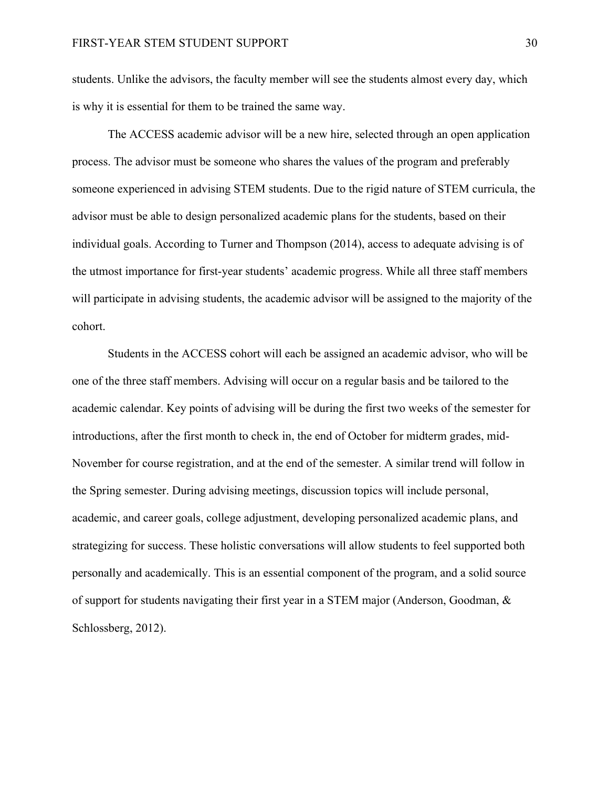students. Unlike the advisors, the faculty member will see the students almost every day, which is why it is essential for them to be trained the same way.

The ACCESS academic advisor will be a new hire, selected through an open application process. The advisor must be someone who shares the values of the program and preferably someone experienced in advising STEM students. Due to the rigid nature of STEM curricula, the advisor must be able to design personalized academic plans for the students, based on their individual goals. According to Turner and Thompson (2014), access to adequate advising is of the utmost importance for first-year students' academic progress. While all three staff members will participate in advising students, the academic advisor will be assigned to the majority of the cohort.

Students in the ACCESS cohort will each be assigned an academic advisor, who will be one of the three staff members. Advising will occur on a regular basis and be tailored to the academic calendar. Key points of advising will be during the first two weeks of the semester for introductions, after the first month to check in, the end of October for midterm grades, mid-November for course registration, and at the end of the semester. A similar trend will follow in the Spring semester. During advising meetings, discussion topics will include personal, academic, and career goals, college adjustment, developing personalized academic plans, and strategizing for success. These holistic conversations will allow students to feel supported both personally and academically. This is an essential component of the program, and a solid source of support for students navigating their first year in a STEM major (Anderson, Goodman, & Schlossberg, 2012).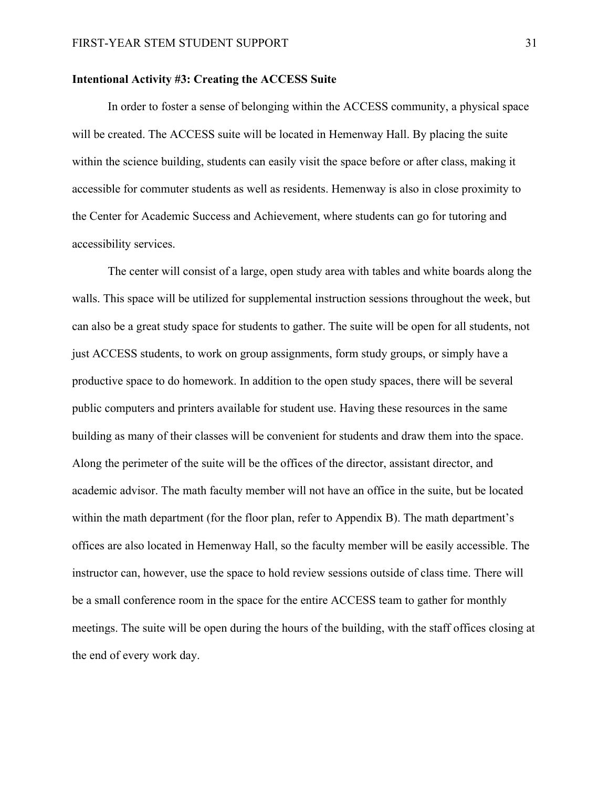### **Intentional Activity #3: Creating the ACCESS Suite**

In order to foster a sense of belonging within the ACCESS community, a physical space will be created. The ACCESS suite will be located in Hemenway Hall. By placing the suite within the science building, students can easily visit the space before or after class, making it accessible for commuter students as well as residents. Hemenway is also in close proximity to the Center for Academic Success and Achievement, where students can go for tutoring and accessibility services.

The center will consist of a large, open study area with tables and white boards along the walls. This space will be utilized for supplemental instruction sessions throughout the week, but can also be a great study space for students to gather. The suite will be open for all students, not just ACCESS students, to work on group assignments, form study groups, or simply have a productive space to do homework. In addition to the open study spaces, there will be several public computers and printers available for student use. Having these resources in the same building as many of their classes will be convenient for students and draw them into the space. Along the perimeter of the suite will be the offices of the director, assistant director, and academic advisor. The math faculty member will not have an office in the suite, but be located within the math department (for the floor plan, refer to Appendix B). The math department's offices are also located in Hemenway Hall, so the faculty member will be easily accessible. The instructor can, however, use the space to hold review sessions outside of class time. There will be a small conference room in the space for the entire ACCESS team to gather for monthly meetings. The suite will be open during the hours of the building, with the staff offices closing at the end of every work day.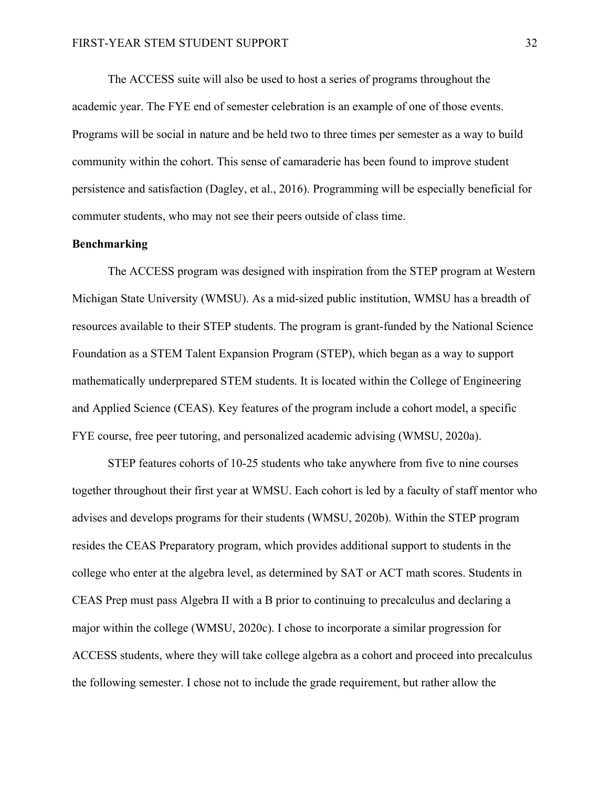The ACCESS suite will also be used to host a series of programs throughout the academic year. The FYE end of semester celebration is an example of one of those events. Programs will be social in nature and be held two to three times per semester as a way to build community within the cohort. This sense of camaraderie has been found to improve student persistence and satisfaction (Dagley, et al., 2016). Programming will be especially beneficial for commuter students, who may not see their peers outside of class time.

#### **Benchmarking**

The ACCESS program was designed with inspiration from the STEP program at Western Michigan State University (WMSU). As a mid-sized public institution, WMSU has a breadth of resources available to their STEP students. The program is grant-funded by the National Science Foundation as a STEM Talent Expansion Program (STEP), which began as a way to support mathematically underprepared STEM students. It is located within the College of Engineering and Applied Science (CEAS). Key features of the program include a cohort model, a specific FYE course, free peer tutoring, and personalized academic advising (WMSU, 2020a).

STEP features cohorts of 10-25 students who take anywhere from five to nine courses together throughout their first year at WMSU. Each cohort is led by a faculty of staff mentor who advises and develops programs for their students (WMSU, 2020b). Within the STEP program resides the CEAS Preparatory program, which provides additional support to students in the college who enter at the algebra level, as determined by SAT or ACT math scores. Students in CEAS Prep must pass Algebra II with a B prior to continuing to precalculus and declaring a major within the college (WMSU, 2020c). I chose to incorporate a similar progression for ACCESS students, where they will take college algebra as a cohort and proceed into precalculus the following semester. I chose not to include the grade requirement, but rather allow the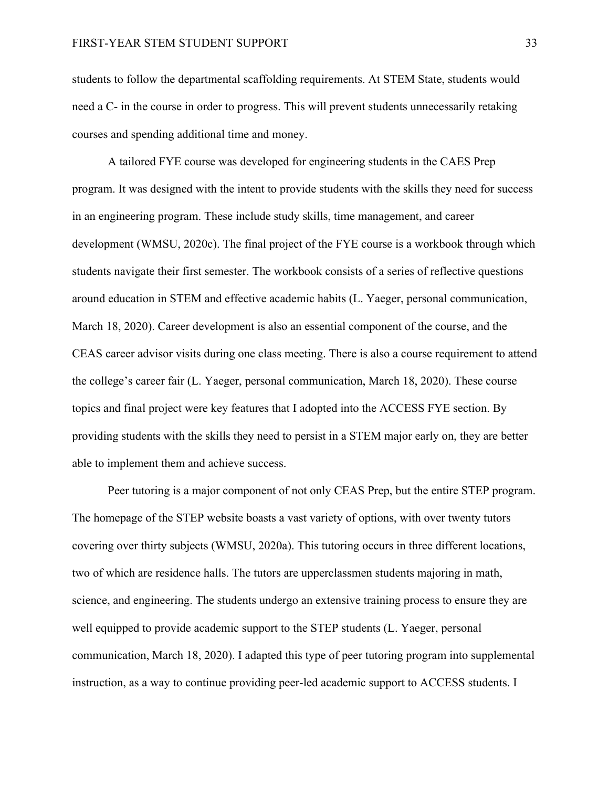students to follow the departmental scaffolding requirements. At STEM State, students would need a C- in the course in order to progress. This will prevent students unnecessarily retaking courses and spending additional time and money.

A tailored FYE course was developed for engineering students in the CAES Prep program. It was designed with the intent to provide students with the skills they need for success in an engineering program. These include study skills, time management, and career development (WMSU, 2020c). The final project of the FYE course is a workbook through which students navigate their first semester. The workbook consists of a series of reflective questions around education in STEM and effective academic habits (L. Yaeger, personal communication, March 18, 2020). Career development is also an essential component of the course, and the CEAS career advisor visits during one class meeting. There is also a course requirement to attend the college's career fair (L. Yaeger, personal communication, March 18, 2020). These course topics and final project were key features that I adopted into the ACCESS FYE section. By providing students with the skills they need to persist in a STEM major early on, they are better able to implement them and achieve success.

Peer tutoring is a major component of not only CEAS Prep, but the entire STEP program. The homepage of the STEP website boasts a vast variety of options, with over twenty tutors covering over thirty subjects (WMSU, 2020a). This tutoring occurs in three different locations, two of which are residence halls. The tutors are upperclassmen students majoring in math, science, and engineering. The students undergo an extensive training process to ensure they are well equipped to provide academic support to the STEP students (L. Yaeger, personal communication, March 18, 2020). I adapted this type of peer tutoring program into supplemental instruction, as a way to continue providing peer-led academic support to ACCESS students. I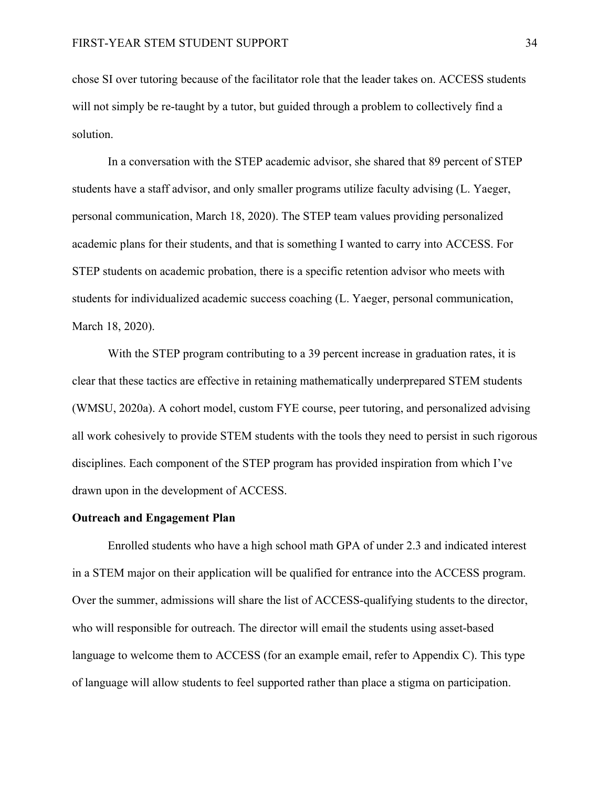chose SI over tutoring because of the facilitator role that the leader takes on. ACCESS students will not simply be re-taught by a tutor, but guided through a problem to collectively find a solution.

In a conversation with the STEP academic advisor, she shared that 89 percent of STEP students have a staff advisor, and only smaller programs utilize faculty advising (L. Yaeger, personal communication, March 18, 2020). The STEP team values providing personalized academic plans for their students, and that is something I wanted to carry into ACCESS. For STEP students on academic probation, there is a specific retention advisor who meets with students for individualized academic success coaching (L. Yaeger, personal communication, March 18, 2020).

With the STEP program contributing to a 39 percent increase in graduation rates, it is clear that these tactics are effective in retaining mathematically underprepared STEM students (WMSU, 2020a). A cohort model, custom FYE course, peer tutoring, and personalized advising all work cohesively to provide STEM students with the tools they need to persist in such rigorous disciplines. Each component of the STEP program has provided inspiration from which I've drawn upon in the development of ACCESS.

#### **Outreach and Engagement Plan**

Enrolled students who have a high school math GPA of under 2.3 and indicated interest in a STEM major on their application will be qualified for entrance into the ACCESS program. Over the summer, admissions will share the list of ACCESS-qualifying students to the director, who will responsible for outreach. The director will email the students using asset-based language to welcome them to ACCESS (for an example email, refer to Appendix C). This type of language will allow students to feel supported rather than place a stigma on participation.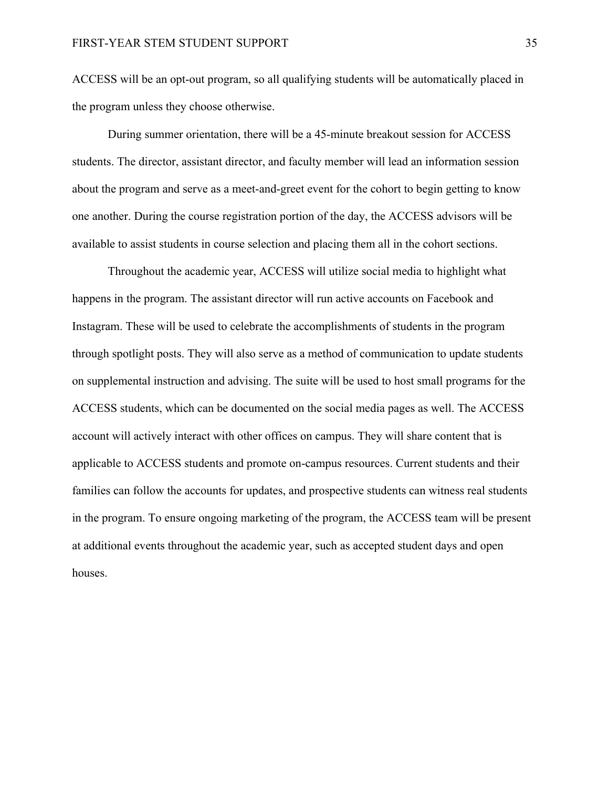ACCESS will be an opt-out program, so all qualifying students will be automatically placed in the program unless they choose otherwise.

During summer orientation, there will be a 45-minute breakout session for ACCESS students. The director, assistant director, and faculty member will lead an information session about the program and serve as a meet-and-greet event for the cohort to begin getting to know one another. During the course registration portion of the day, the ACCESS advisors will be available to assist students in course selection and placing them all in the cohort sections.

Throughout the academic year, ACCESS will utilize social media to highlight what happens in the program. The assistant director will run active accounts on Facebook and Instagram. These will be used to celebrate the accomplishments of students in the program through spotlight posts. They will also serve as a method of communication to update students on supplemental instruction and advising. The suite will be used to host small programs for the ACCESS students, which can be documented on the social media pages as well. The ACCESS account will actively interact with other offices on campus. They will share content that is applicable to ACCESS students and promote on-campus resources. Current students and their families can follow the accounts for updates, and prospective students can witness real students in the program. To ensure ongoing marketing of the program, the ACCESS team will be present at additional events throughout the academic year, such as accepted student days and open houses.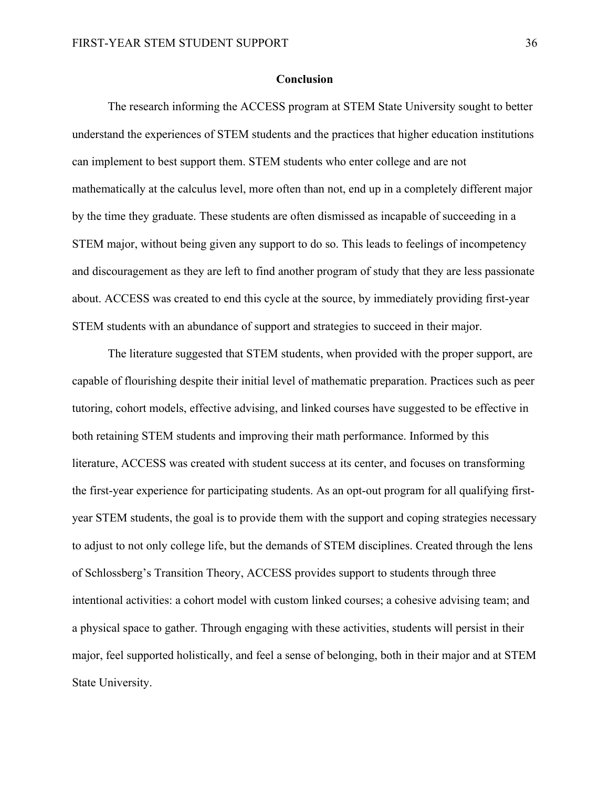#### **Conclusion**

The research informing the ACCESS program at STEM State University sought to better understand the experiences of STEM students and the practices that higher education institutions can implement to best support them. STEM students who enter college and are not mathematically at the calculus level, more often than not, end up in a completely different major by the time they graduate. These students are often dismissed as incapable of succeeding in a STEM major, without being given any support to do so. This leads to feelings of incompetency and discouragement as they are left to find another program of study that they are less passionate about. ACCESS was created to end this cycle at the source, by immediately providing first-year STEM students with an abundance of support and strategies to succeed in their major.

The literature suggested that STEM students, when provided with the proper support, are capable of flourishing despite their initial level of mathematic preparation. Practices such as peer tutoring, cohort models, effective advising, and linked courses have suggested to be effective in both retaining STEM students and improving their math performance. Informed by this literature, ACCESS was created with student success at its center, and focuses on transforming the first-year experience for participating students. As an opt-out program for all qualifying firstyear STEM students, the goal is to provide them with the support and coping strategies necessary to adjust to not only college life, but the demands of STEM disciplines. Created through the lens of Schlossberg's Transition Theory, ACCESS provides support to students through three intentional activities: a cohort model with custom linked courses; a cohesive advising team; and a physical space to gather. Through engaging with these activities, students will persist in their major, feel supported holistically, and feel a sense of belonging, both in their major and at STEM State University.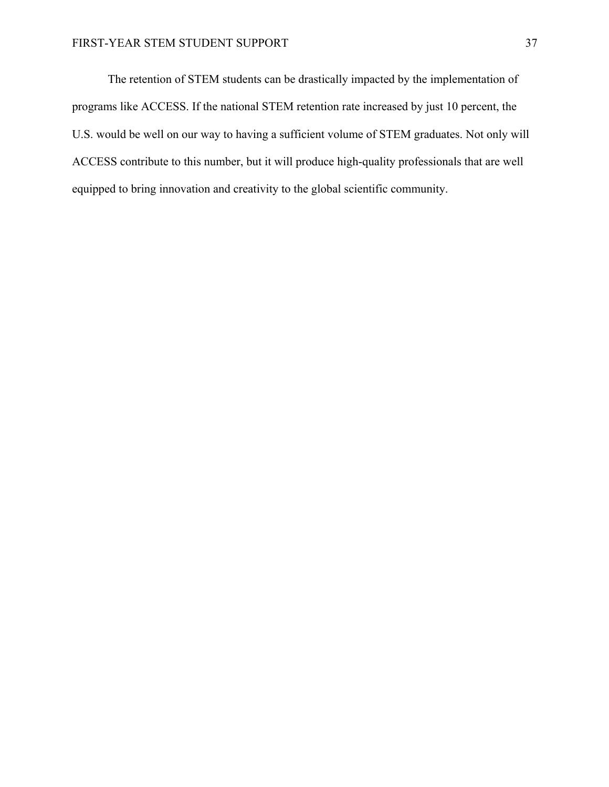The retention of STEM students can be drastically impacted by the implementation of programs like ACCESS. If the national STEM retention rate increased by just 10 percent, the U.S. would be well on our way to having a sufficient volume of STEM graduates. Not only will ACCESS contribute to this number, but it will produce high-quality professionals that are well equipped to bring innovation and creativity to the global scientific community.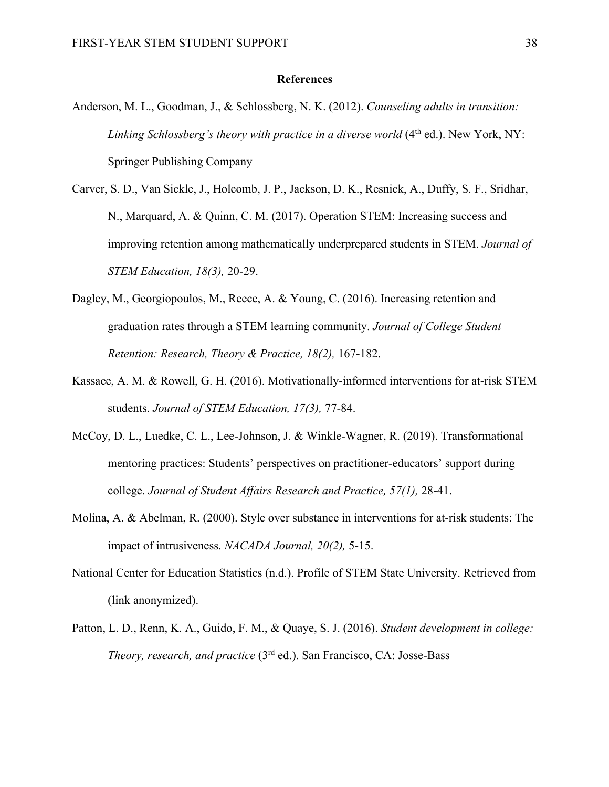### **References**

- Anderson, M. L., Goodman, J., & Schlossberg, N. K. (2012). *Counseling adults in transition: Linking Schlossberg's theory with practice in a diverse world* (4<sup>th</sup> ed.). New York, NY: Springer Publishing Company
- Carver, S. D., Van Sickle, J., Holcomb, J. P., Jackson, D. K., Resnick, A., Duffy, S. F., Sridhar, N., Marquard, A. & Quinn, C. M. (2017). Operation STEM: Increasing success and improving retention among mathematically underprepared students in STEM. *Journal of STEM Education, 18(3),* 20-29.
- Dagley, M., Georgiopoulos, M., Reece, A. & Young, C. (2016). Increasing retention and graduation rates through a STEM learning community. *Journal of College Student Retention: Research, Theory & Practice, 18(2),* 167-182.
- Kassaee, A. M. & Rowell, G. H. (2016). Motivationally-informed interventions for at-risk STEM students. *Journal of STEM Education, 17(3),* 77-84.
- McCoy, D. L., Luedke, C. L., Lee-Johnson, J. & Winkle-Wagner, R. (2019). Transformational mentoring practices: Students' perspectives on practitioner-educators' support during college. *Journal of Student Affairs Research and Practice, 57(1),* 28-41.
- Molina, A. & Abelman, R. (2000). Style over substance in interventions for at-risk students: The impact of intrusiveness. *NACADA Journal, 20(2),* 5-15.
- National Center for Education Statistics (n.d.). Profile of STEM State University. Retrieved from (link anonymized).
- Patton, L. D., Renn, K. A., Guido, F. M., & Quaye, S. J. (2016). *Student development in college: Theory, research, and practice* (3rd ed.). San Francisco, CA: Josse-Bass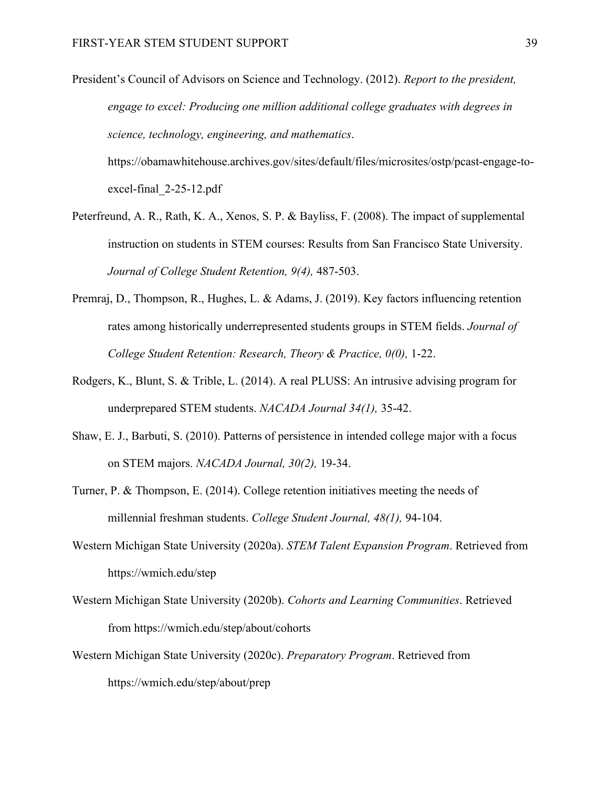President's Council of Advisors on Science and Technology. (2012). *Report to the president, engage to excel: Producing one million additional college graduates with degrees in science, technology, engineering, and mathematics*.

https://obamawhitehouse.archives.gov/sites/default/files/microsites/ostp/pcast-engage-toexcel-final\_2-25-12.pdf

- Peterfreund, A. R., Rath, K. A., Xenos, S. P. & Bayliss, F. (2008). The impact of supplemental instruction on students in STEM courses: Results from San Francisco State University. *Journal of College Student Retention, 9(4),* 487-503.
- Premraj, D., Thompson, R., Hughes, L. & Adams, J. (2019). Key factors influencing retention rates among historically underrepresented students groups in STEM fields. *Journal of College Student Retention: Research, Theory & Practice, 0(0),* 1-22.
- Rodgers, K., Blunt, S. & Trible, L. (2014). A real PLUSS: An intrusive advising program for underprepared STEM students. *NACADA Journal 34(1),* 35-42.
- Shaw, E. J., Barbuti, S. (2010). Patterns of persistence in intended college major with a focus on STEM majors. *NACADA Journal, 30(2),* 19-34.
- Turner, P. & Thompson, E. (2014). College retention initiatives meeting the needs of millennial freshman students. *College Student Journal, 48(1),* 94-104.
- Western Michigan State University (2020a). *STEM Talent Expansion Program*. Retrieved from https://wmich.edu/step
- Western Michigan State University (2020b). *Cohorts and Learning Communities*. Retrieved from https://wmich.edu/step/about/cohorts
- Western Michigan State University (2020c). *Preparatory Program*. Retrieved from https://wmich.edu/step/about/prep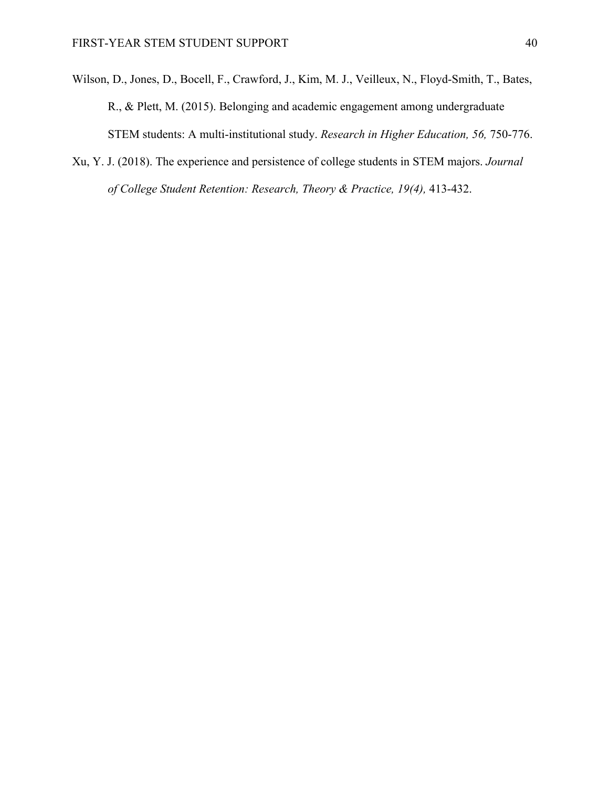- Wilson, D., Jones, D., Bocell, F., Crawford, J., Kim, M. J., Veilleux, N., Floyd-Smith, T., Bates, R., & Plett, M. (2015). Belonging and academic engagement among undergraduate STEM students: A multi-institutional study. *Research in Higher Education, 56,* 750-776.
- Xu, Y. J. (2018). The experience and persistence of college students in STEM majors. *Journal of College Student Retention: Research, Theory & Practice, 19(4),* 413-432.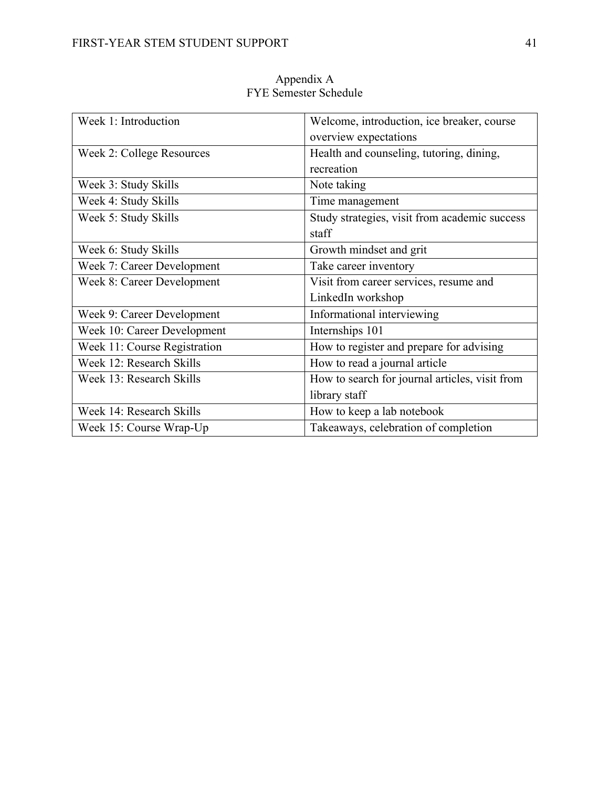| Week 1: Introduction         | Welcome, introduction, ice breaker, course     |
|------------------------------|------------------------------------------------|
|                              | overview expectations                          |
| Week 2: College Resources    | Health and counseling, tutoring, dining,       |
|                              | recreation                                     |
| Week 3: Study Skills         | Note taking                                    |
| Week 4: Study Skills         | Time management                                |
| Week 5: Study Skills         | Study strategies, visit from academic success  |
|                              | staff                                          |
| Week 6: Study Skills         | Growth mindset and grit                        |
| Week 7: Career Development   | Take career inventory                          |
| Week 8: Career Development   | Visit from career services, resume and         |
|                              | LinkedIn workshop                              |
| Week 9: Career Development   | Informational interviewing                     |
| Week 10: Career Development  | Internships 101                                |
| Week 11: Course Registration | How to register and prepare for advising       |
| Week 12: Research Skills     | How to read a journal article                  |
| Week 13: Research Skills     | How to search for journal articles, visit from |
|                              | library staff                                  |
| Week 14: Research Skills     | How to keep a lab notebook                     |
| Week 15: Course Wrap-Up      | Takeaways, celebration of completion           |

Appendix A FYE Semester Schedule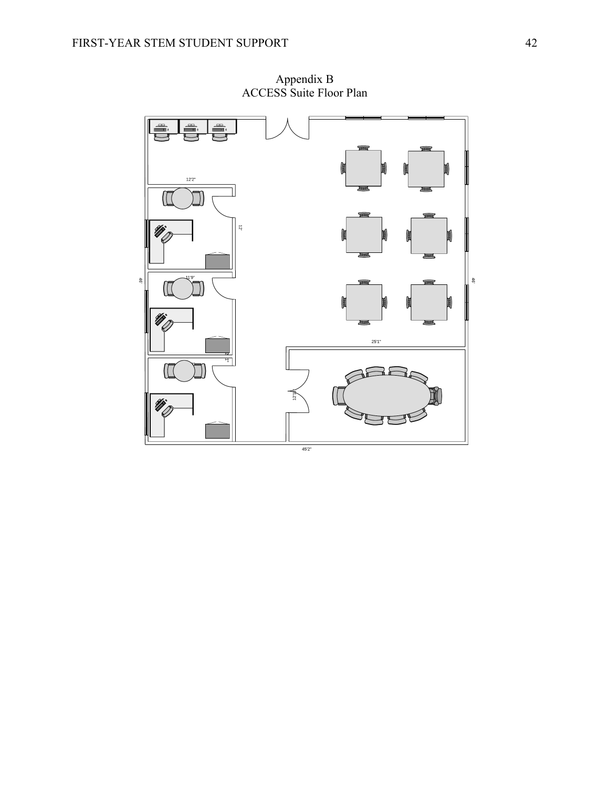

Appendix B ACCESS Suite Floor Plan